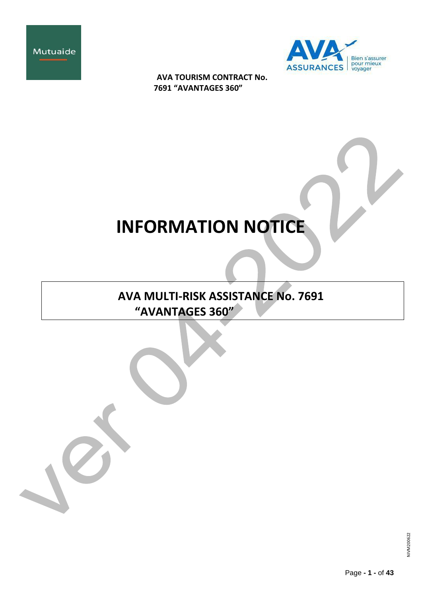



# **INFORMATION NOTICE**

**AVA MULTI-RISK ASSISTANCE No. 7691 "AVANTAGES 360"**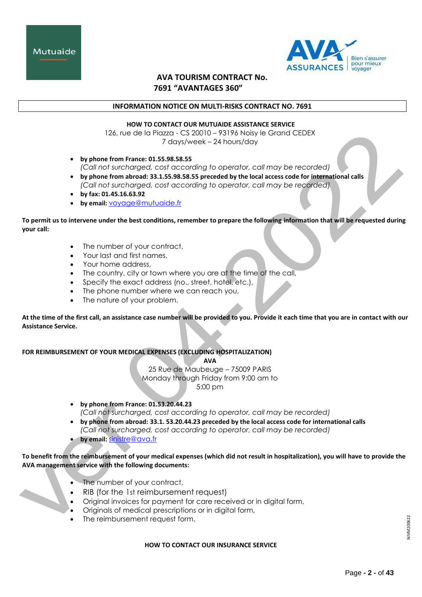



## **INFORMATION NOTICE ON MULTI-RISKS CONTRACT NO. 7691**

## **HOW TO CONTACT OUR MUTUAIDE ASSISTANCE SERVICE**

126, rue de la Piazza - CS 20010 – 93196 Noisy le Grand CEDEX 7 days/week – 24 hours/day

- **by phone from France: 01.55.98.58.55** *(Call not surcharged, cost according to operator, call may be recorded)*
- **by phone from abroad: 33.1.55.98.58.55 preceded by the local access code for international calls** *(Call not surcharged, cost according to operator, call may be recorded)*
- **by fax: 01.45.16.63.92**
- **by email:** [voyage@mutuaide.fr](mailto:voyage@mutuaide.fr)

**To permit us to intervene under the best conditions, remember to prepare the following information that will be requested during your call:**

- The number of your contract,
- Your last and first names,
- Your home address,
- The country, city or town where you are at the time of the call,
- Specify the exact address (no., street, hotel, etc.),
- The phone number where we can reach you,
- The nature of your problem.

**At the time of the first call, an assistance case number will be provided to you. Provide it each time that you are in contact with our Assistance Service.**

**FOR REIMBURSEMENT OF YOUR MEDICAL EXPENSES (EXCLUDING HOSPITALIZATION)**

**AVA**

25 Rue de Maubeuge – 75009 PARIS Monday through Friday from 9:00 am to 5:00 pm

- **by phone from France: 01.53.20.44.23** *(Call not surcharged, cost according to operator, call may be recorded)*
- **by phone from abroad: 33.1. 53.20.44.23 preceded by the local access code for international calls** *(Call not surcharged, cost according to operator, call may be recorded)*
- **by email:** [sinistre@ava.fr](mailto:gestion-assurance@mutuaide.fr)

# **To benefit from the reimbursement of your medical expenses (which did not result in hospitalization), you will have to provide the AVA management service with the following documents:**

- The number of your contract,
- RIB (for the 1st reimbursement request)
- Original invoices for payment for care received or in digital form,
- Originals of medical prescriptions or in digital form,
- The reimbursement request form.

# **HOW TO CONTACT OUR INSURANCE SERVICE**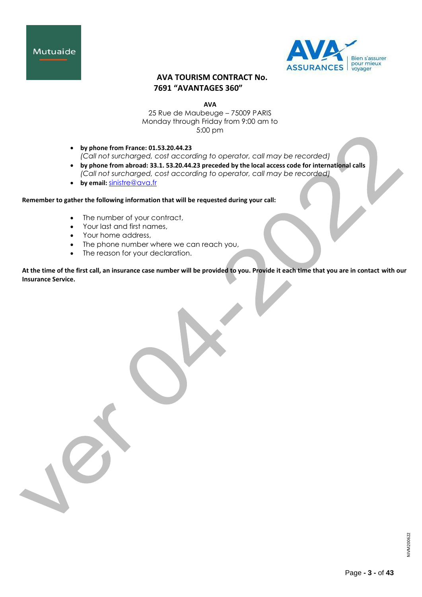



**AVA**

25 Rue de Maubeuge – 75009 PARIS Monday through Friday from 9:00 am to 5:00 pm

- **by phone from France: 01.53.20.44.23** *(Call not surcharged, cost according to operator, call may be recorded)*
- **by phone from abroad: 33.1. 53.20.44.23 preceded by the local access code for international calls** *(Call not surcharged, cost according to operator, call may be recorded)*
- **by email:** [sinistre@ava.fr](mailto:gestion-assurance@mutuaide.fr)

**Remember to gather the following information that will be requested during your call:**

- The number of your contract,
- Your last and first names,
- Your home address,
- The phone number where we can reach you,
- The reason for your declaration.

**At the time of the first call, an insurance case number will be provided to you. Provide it each time that you are in contact with our Insurance Service.**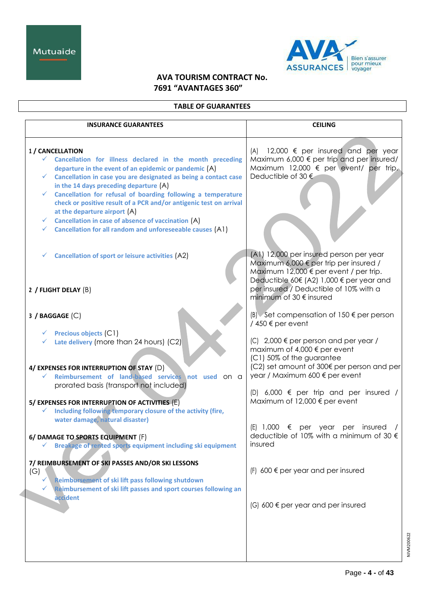

# **TABLE OF GUARANTEES**

| <b>INSURANCE GUARANTEES</b>                                                                                                                                                                                                                                                                                                                                                                                                                                                                                                                                                                                  | <b>CEILING</b>                                                                                                                                                                                                                                                                      |
|--------------------------------------------------------------------------------------------------------------------------------------------------------------------------------------------------------------------------------------------------------------------------------------------------------------------------------------------------------------------------------------------------------------------------------------------------------------------------------------------------------------------------------------------------------------------------------------------------------------|-------------------------------------------------------------------------------------------------------------------------------------------------------------------------------------------------------------------------------------------------------------------------------------|
| 1 / CANCELLATION<br>$\checkmark$ Cancellation for illness declared in the month preceding<br>departure in the event of an epidemic or pandemic (A)<br>$\checkmark$ Cancellation in case you are designated as being a contact case<br>in the 14 days preceding departure $(A)$<br>Cancellation for refusal of boarding following a temperature<br>$\checkmark$<br>check or positive result of a PCR and/or antigenic test on arrival<br>at the departure airport (A)<br>Cancellation in case of absence of vaccination (A)<br>✓<br>Cancellation for all random and unforeseeable causes (A1)<br>$\checkmark$ | 12,000 $\epsilon$ per insured and per year<br>(A)<br>Maximum 6,000 $\epsilon$ per trip and per insured/<br>Maximum 12,000 $\epsilon$ per event/ per trip.<br>Deductible of 30 €                                                                                                     |
| <b>Cancellation of sport or leisure activities (A2)</b><br>✓<br>2 / FLIGHT DELAY (B)                                                                                                                                                                                                                                                                                                                                                                                                                                                                                                                         | (A1) 12,000 per insured person per year<br>Maximum 6,000 $\notin$ per trip per insured /<br>Maximum 12,000 € per event / per trip.<br>Deductible 60€ (A2) 1,000 € per year and<br>per insured / Deductible of 10% with a<br>minimum of 30 € insured                                 |
| $3$ / BAGGAGE $(C)$                                                                                                                                                                                                                                                                                                                                                                                                                                                                                                                                                                                          | $(B)$ Set compensation of 150 $\epsilon$ per person<br>/450 € per event                                                                                                                                                                                                             |
| $\checkmark$ Precious objects (C1)<br>Late delivery (more than 24 hours) (C2)<br>✓<br>4/ EXPENSES FOR INTERRUPTION OF STAY (D)<br>Reimbursement of land-based services not used ON Q<br>prorated basis (transport not included)<br>5/ EXPENSES FOR INTERRUPTION OF ACTIVITIES (E)                                                                                                                                                                                                                                                                                                                            | $(C)$ 2,000 $\epsilon$ per person and per year /<br>maximum of 4,000 € per event<br>(C1) 50% of the guarantee<br>(C2) set amount of 300€ per person and per<br>year / Maximum 600 € per event<br>$(D)$ 6,000 $\epsilon$ per trip and per insured /<br>Maximum of 12,000 € per event |
| Including following temporary closure of the activity (fire,<br>✓<br>water damage, natural disaster)<br>6/ DAMAGE TO SPORTS EQUIPMENT (F)<br>Breakage of rented sports equipment including ski equipment                                                                                                                                                                                                                                                                                                                                                                                                     | $(E)$ 1,000<br>€<br>per year per insured<br>deductible of 10% with a minimum of 30 €<br>insured                                                                                                                                                                                     |
| 7/ REIMBURSEMENT OF SKI PASSES AND/OR SKI LESSONS<br>(G)<br>Reimbursement of ski lift pass following shutdown<br>✓<br>Reimbursement of ski lift passes and sport courses following an                                                                                                                                                                                                                                                                                                                                                                                                                        | $(F)$ 600 $\epsilon$ per year and per insured                                                                                                                                                                                                                                       |
| accident                                                                                                                                                                                                                                                                                                                                                                                                                                                                                                                                                                                                     | $(G)$ 600 $\epsilon$ per year and per insured                                                                                                                                                                                                                                       |
|                                                                                                                                                                                                                                                                                                                                                                                                                                                                                                                                                                                                              |                                                                                                                                                                                                                                                                                     |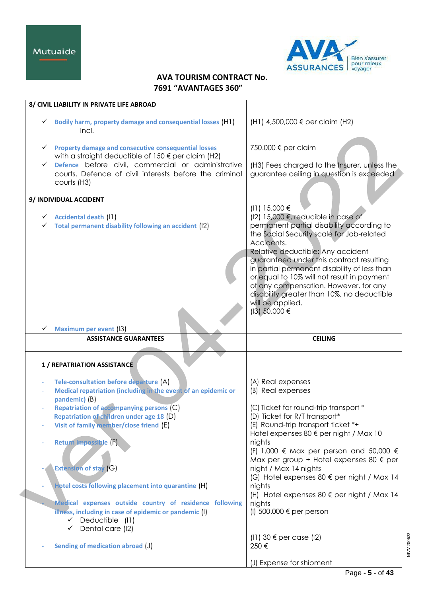Mutuaide



# **AVA TOURISM CONTRACT No. 7691 "AVANTAGES 360"**

| 8/ CIVIL LIABILITY IN PRIVATE LIFE ABROAD                                                                                                                                         |                                                                                                      |
|-----------------------------------------------------------------------------------------------------------------------------------------------------------------------------------|------------------------------------------------------------------------------------------------------|
| Bodily harm, property damage and consequential losses (H1)<br>$\checkmark$<br>Incl.                                                                                               | (H1) 4,500,000 € per claim (H2)                                                                      |
| $\checkmark$ Property damage and consecutive consequential losses<br>with a straight deductible of $150 \in$ per claim (H2)<br>Defence before civil, commercial or administrative | 750.000 € per claim<br>(H3) Fees charged to the Insurer, unless the                                  |
| courts. Defence of civil interests before the criminal<br>courts (H3)                                                                                                             | guarantee ceiling in question is exceeded                                                            |
| 9/ INDIVIDUAL ACCIDENT                                                                                                                                                            | (11) 15.000 €                                                                                        |
| $\checkmark$ Accidental death (11)                                                                                                                                                | (12) 15,000 €, reducible in case of                                                                  |
| Total permanent disability following an accident (12)<br>✓                                                                                                                        | permanent partial disability according to<br>the Social Security scale for Job-related<br>Accidents. |
|                                                                                                                                                                                   | Relative deductible: Any accident                                                                    |
|                                                                                                                                                                                   | guaranteed under this contract resulting<br>in partial permanent disability of less than             |
|                                                                                                                                                                                   | or equal to 10% will not result in payment                                                           |
|                                                                                                                                                                                   | of any compensation. However, for any                                                                |
|                                                                                                                                                                                   | disability greater than 10%, no deductible<br>will be applied.                                       |
|                                                                                                                                                                                   | (13) 50.000 €                                                                                        |
| <b>Maximum per event (I3)</b>                                                                                                                                                     |                                                                                                      |
|                                                                                                                                                                                   |                                                                                                      |
| <b>ASSISTANCE GUARANTEES</b>                                                                                                                                                      | <b>CEILING</b>                                                                                       |
|                                                                                                                                                                                   |                                                                                                      |
| 1 / REPATRIATION ASSISTANCE                                                                                                                                                       |                                                                                                      |
| Tele-consultation before departure (A)                                                                                                                                            | (A) Real expenses                                                                                    |
| Medical repatriation (including in the event of an epidemic or                                                                                                                    | (B) Real expenses                                                                                    |
| pandemic) (B)<br><b>Repatriation of accompanying persons (C)</b>                                                                                                                  | (C) Ticket for round-trip transport *                                                                |
| Repatriation of children under age 18 (D)                                                                                                                                         | (D) Ticket for R/T transport*                                                                        |
| Visit of family member/close friend (E)                                                                                                                                           | (E) Round-trip transport ticket *+<br>Hotel expenses 80 € per night / Max 10                         |
| Return impossible (F)                                                                                                                                                             | nights                                                                                               |
|                                                                                                                                                                                   | (F) 1,000 $\epsilon$ Max per person and 50,000 $\epsilon$                                            |
| <b>Extension of stay (G)</b>                                                                                                                                                      | Max per group + Hotel expenses 80 $\epsilon$ per<br>night / Max 14 nights                            |
|                                                                                                                                                                                   | (G) Hotel expenses 80 € per night / Max 14                                                           |
| Hotel costs following placement into quarantine (H)                                                                                                                               | nights                                                                                               |
| Medical expenses outside country of residence following                                                                                                                           | (H) Hotel expenses $80 \text{ } \in$ per night / Max 14<br>nights                                    |
| illness, including in case of epidemic or pandemic (I)<br>$\checkmark$ Deductible (I1)                                                                                            | (I) $500.000 \in per$ person                                                                         |
| Dental care (12)<br>✓                                                                                                                                                             | $(11)$ 30 $\epsilon$ per case (12)                                                                   |
| Sending of medication abroad (J)                                                                                                                                                  | 250€                                                                                                 |

NIVM200622

NIVM200622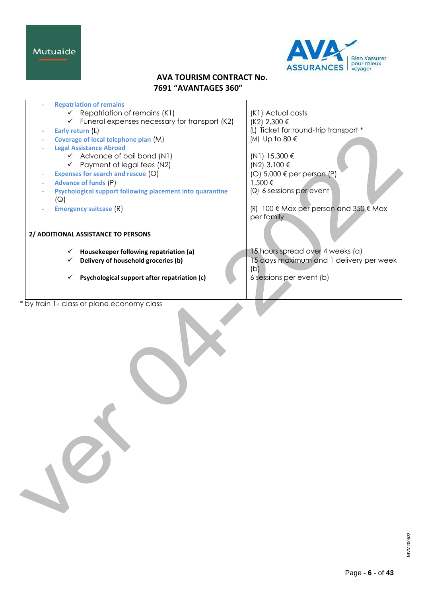Mutuaide



# **AVA TOURISM CONTRACT No. 7691 "AVANTAGES 360"**

| <b>Repatriation of remains</b>                             |                                           |
|------------------------------------------------------------|-------------------------------------------|
| $\checkmark$ Repatriation of remains (K1)                  | (K1) Actual costs                         |
| $\checkmark$ Funeral expenses necessary for transport (K2) | $(K2)$ 2,300 €                            |
| Early return (L)                                           | (L) Ticket for round-trip transport *     |
| Coverage of local telephone plan (M)                       | (M) Up to 80 €                            |
| <b>Legal Assistance Abroad</b>                             |                                           |
| $\checkmark$ Advance of bail bond (N1)                     | (N1) 15.300 €                             |
| $\checkmark$ Payment of legal fees (N2)                    | (N2) 3.100 €                              |
| Expenses for search and rescue (O)                         | (O) 5,000 € per person (P)                |
| <b>Advance of funds (P)</b>                                | 1,500 €                                   |
| Psychological support following placement into quarantine  | $(Q)$ 6 sessions per event                |
| (Q)                                                        |                                           |
| <b>Emergency suitcase (R)</b>                              | 100 € Max per person and 350 € Max<br>(R) |
|                                                            | per family                                |
|                                                            |                                           |
| 2/ ADDITIONAL ASSISTANCE TO PERSONS                        |                                           |
|                                                            |                                           |
| Housekeeper following repatriation (a)                     | 15 hours spread over 4 weeks (a)          |
| Delivery of household groceries (b)<br>$\checkmark$        | 15 days maximum and 1 delivery per week   |
|                                                            | (b)                                       |
| Psychological support after repatriation (c)<br>✓          | 6 sessions per event (b)                  |
|                                                            |                                           |
|                                                            |                                           |
| * by train 1st class or plane economy class                |                                           |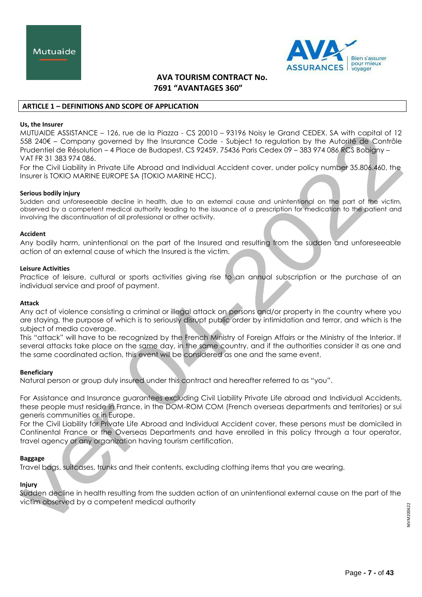

## **ARTICLE 1 – DEFINITIONS AND SCOPE OF APPLICATION**

#### **Us, the Insurer**

MUTUAIDE ASSISTANCE – 126, rue de la Piazza - CS 20010 – 93196 Noisy le Grand CEDEX. SA with capital of 12 558 240€ – Company governed by the Insurance Code - Subject to regulation by the Autorité de Contrôle Prudentiel de Résolution – 4 Place de Budapest, CS 92459, 75436 Paris Cedex 09 – 383 974 086 RCS Bobigny – VAT FR 31 383 974 086.

For the Civil Liability in Private Life Abroad and Individual Accident cover, under policy number 35.806.460, the Insurer is TOKIO MARINE EUROPE SA (TOKIO MARINE HCC).

## **Serious bodily injury**

Sudden and unforeseeable decline in health, due to an external cause and unintentional on the part of the victim, observed by a competent medical authority leading to the issuance of a prescription for medication to the patient and involving the discontinuation of all professional or other activity.

#### **Accident**

Any bodily harm, unintentional on the part of the Insured and resulting from the sudden and unforeseeable action of an external cause of which the Insured is the victim.

## **Leisure Activities**

Practice of leisure, cultural or sports activities giving rise to an annual subscription or the purchase of an individual service and proof of payment.

## **Attack**

Any act of violence consisting a criminal or illegal attack on persons and/or property in the country where you are staying, the purpose of which is to seriously disrupt public order by intimidation and terror, and which is the subject of media coverage.

This "attack" will have to be recognized by the French Ministry of Foreign Affairs or the Ministry of the Interior. If several attacks take place on the same day, in the same country, and if the authorities consider it as one and the same coordinated action, this event will be considered as one and the same event.

# **Beneficiary**

Natural person or group duly insured under this contract and hereafter referred to as "you".

For Assistance and Insurance guarantees excluding Civil Liability Private Life abroad and Individual Accidents, these people must reside in France, in the DOM-ROM COM (French overseas departments and territories) or sui generis communities or in Europe.

For the Civil Liability for Private Life Abroad and Individual Accident cover, these persons must be domiciled in Continental France or the Overseas Departments and have enrolled in this policy through a tour operator, travel agency or any organization having tourism certification.

#### **Baggage**

Travel bags, suitcases, trunks and their contents, excluding clothing items that you are wearing.

# **Injury**

Sudden decline in health resulting from the sudden action of an unintentional external cause on the part of the victim observed by a competent medical authority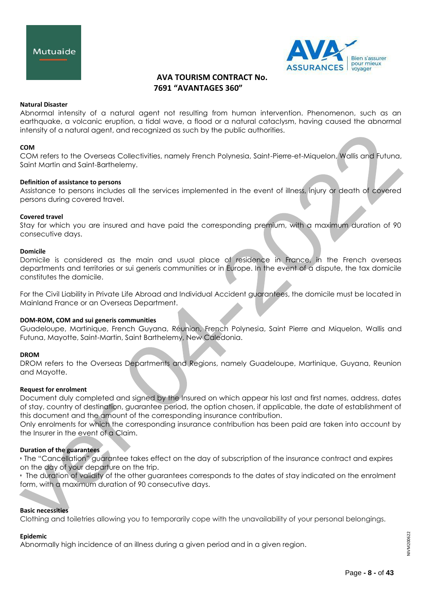



#### **Natural Disaster**

Abnormal intensity of a natural agent not resulting from human intervention. Phenomenon, such as an earthquake, a volcanic eruption, a tidal wave, a flood or a natural cataclysm, having caused the abnormal intensity of a natural agent, and recognized as such by the public authorities.

#### **COM**

COM refers to the Overseas Collectivities, namely French Polynesia, Saint-Pierre-et-Miquelon, Wallis and Futuna, Saint Martin and Saint-Barthelemy.

#### **Definition of assistance to persons**

Assistance to persons includes all the services implemented in the event of illness, injury or death of covered persons during covered travel.

#### **Covered travel**

Stay for which you are insured and have paid the corresponding premium, with a maximum duration of 90 consecutive days.

## **Domicile**

Domicile is considered as the main and usual place of residence in France, in the French overseas departments and territories or sui generis communities or in Europe. In the event of a dispute, the tax domicile constitutes the domicile.

For the Civil Liability in Private Life Abroad and Individual Accident guarantees, the domicile must be located in Mainland France or an Overseas Department.

#### **DOM-ROM, COM and sui generis communities**

Guadeloupe, Martinique, French Guyana, Réunion, French Polynesia, Saint Pierre and Miquelon, Wallis and Futuna, Mayotte, Saint-Martin, Saint Barthelemy, New Caledonia.

#### **DROM**

DROM refers to the Overseas Departments and Regions, namely Guadeloupe, Martinique, Guyana, Reunion and Mayotte.

#### **Request for enrolment**

Document duly completed and signed by the Insured on which appear his last and first names, address, dates of stay, country of destination, guarantee period, the option chosen, if applicable, the date of establishment of this document and the amount of the corresponding insurance contribution.

Only enrolments for which the corresponding insurance contribution has been paid are taken into account by the Insurer in the event of a Claim.

## **Duration of the guarantees**

• The "Cancellation" guarantee takes effect on the day of subscription of the insurance contract and expires on the day of your departure on the trip.

• The duration of validity of the other guarantees corresponds to the dates of stay indicated on the enrolment form, with a maximum duration of 90 consecutive days.

#### **Basic necessities**

Clothing and toiletries allowing you to temporarily cope with the unavailability of your personal belongings.

#### **Epidemic**

Abnormally high incidence of an illness during a given period and in a given region.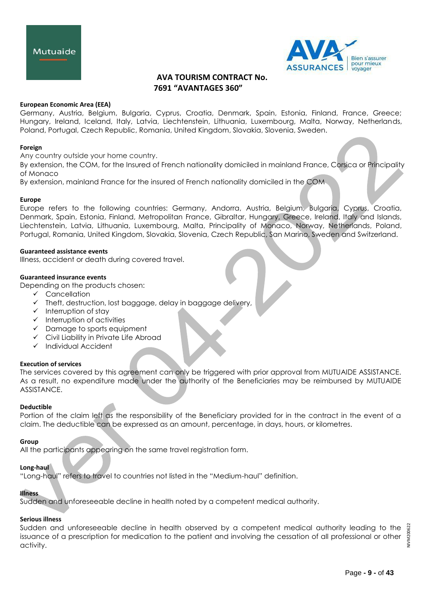



## **European Economic Area (EEA)**

Germany, Austria, Belgium, Bulgaria, Cyprus, Croatia, Denmark, Spain, Estonia, Finland, France, Greece; Hungary, Ireland, Iceland, Italy, Latvia, Liechtenstein, Lithuania, Luxembourg, Malta, Norway, Netherlands, Poland, Portugal, Czech Republic, Romania, United Kingdom, Slovakia, Slovenia, Sweden.

#### **Foreign**

Any country outside your home country.

By extension, the COM, for the Insured of French nationality domiciled in mainland France, Corsica or Principality of Monaco

By extension, mainland France for the insured of French nationality domiciled in the COM

#### **Europe**

Europe refers to the following countries: Germany, Andorra, Austria, Belgium, Bulgaria, Cyprus, Croatia, Denmark, Spain, Estonia, Finland, Metropolitan France, Gibraltar, Hungary, Greece, Ireland, Italy and Islands, Liechtenstein, Latvia, Lithuania, Luxembourg, Malta, Principality of Monaco, Norway, Netherlands, Poland, Portugal, Romania, United Kingdom, Slovakia, Slovenia, Czech Republic, San Marino, Sweden and Switzerland.

#### **Guaranteed assistance events**

Illness, accident or death during covered travel.

## **Guaranteed insurance events**

Depending on the products chosen:

- $\checkmark$  Cancellation
- $\checkmark$  Theft, destruction, lost baggage, delay in baggage delivery,
- $\checkmark$  Interruption of stay
- $\checkmark$  Interruption of activities
- $\checkmark$  Damage to sports equipment
- Civil Liability in Private Life Abroad
- $\checkmark$  Individual Accident

#### **Execution of services**

The services covered by this agreement can only be triggered with prior approval from MUTUAIDE ASSISTANCE. As a result, no expenditure made under the authority of the Beneficiaries may be reimbursed by MUTUAIDE ASSISTANCE.

#### **Deductible**

Portion of the claim left as the responsibility of the Beneficiary provided for in the contract in the event of a claim. The deductible can be expressed as an amount, percentage, in days, hours, or kilometres.

#### **Group**

All the participants appearing on the same travel registration form.

## **Long-haul**

"Long-haul" refers to travel to countries not listed in the "Medium-haul" definition.

# **Illness**

Sudden and unforeseeable decline in health noted by a competent medical authority.

# **Serious illness**

Sudden and unforeseeable decline in health observed by a competent medical authority leading to the issuance of a prescription for medication to the patient and involving the cessation of all professional or other activity.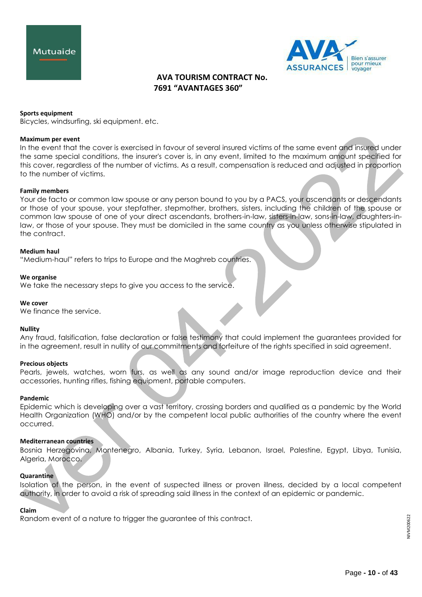



#### **Sports equipment**

Bicycles, windsurfing, ski equipment. etc.

#### **Maximum per event**

In the event that the cover is exercised in favour of several insured victims of the same event and insured under the same special conditions, the insurer's cover is, in any event, limited to the maximum amount specified for this cover, regardless of the number of victims. As a result, compensation is reduced and adjusted in proportion to the number of victims.

## **Family members**

Your de facto or common law spouse or any person bound to you by a PACS, your ascendants or descendants or those of your spouse, your stepfather, stepmother, brothers, sisters, including the children of the spouse or common law spouse of one of your direct ascendants, brothers-in-law, sisters-in-law, sons-in-law, daughters-inlaw, or those of your spouse. They must be domiciled in the same country as you unless otherwise stipulated in the contract.

#### **Medium haul**

"Medium-haul" refers to trips to Europe and the Maghreb countries.

#### **We organise**

We take the necessary steps to give you access to the service.

#### **We cover**

We finance the service.

#### **Nullity**

Any fraud, falsification, false declaration or false testimony that could implement the guarantees provided for in the agreement, result in nullity of our commitments and forfeiture of the rights specified in said agreement.

#### **Precious objects**

Pearls, jewels, watches, worn furs, as well as any sound and/or image reproduction device and their accessories, hunting rifles, fishing equipment, portable computers.

#### **Pandemic**

Epidemic which is developing over a vast territory, crossing borders and qualified as a pandemic by the World Health Organization (WHO) and/or by the competent local public authorities of the country where the event occurred.

#### **Mediterranean countries**

Bosnia Herzegovina, Montenegro, Albania, Turkey, Syria, Lebanon, Israel, Palestine, Egypt, Libya, Tunisia, Algeria, Morocco.

## **Quarantine**

Isolation of the person, in the event of suspected illness or proven illness, decided by a local competent authority, in order to avoid a risk of spreading said illness in the context of an epidemic or pandemic.

#### **Claim**

Random event of a nature to trigger the guarantee of this contract.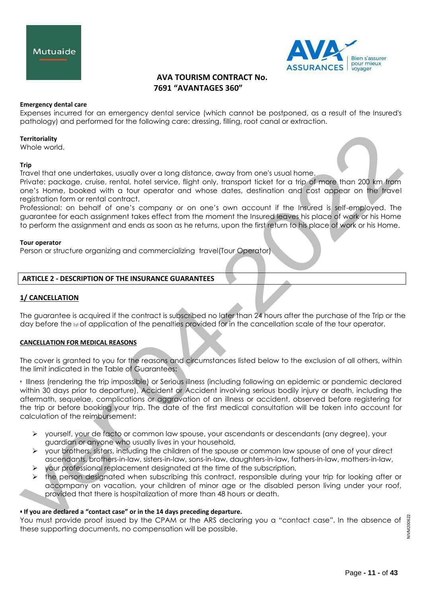



## **Emergency dental care**

Expenses incurred for an emergency dental service (which cannot be postponed, as a result of the Insured's pathology) and performed for the following care: dressing, filling, root canal or extraction.

## **Territoriality**

Whole world.

#### **Trip**

Travel that one undertakes, usually over a long distance, away from one's usual home.

Private: package, cruise, rental, hotel service, flight only, transport ticket for a trip of more than 200 km from one's Home, booked with a tour operator and whose dates, destination and cost appear on the travel registration form or rental contract.

Professional: on behalf of one's company or on one's own account if the Insured is self-employed. The guarantee for each assignment takes effect from the moment the Insured leaves his place of work or his Home to perform the assignment and ends as soon as he returns, upon the first return to his place of work or his Home.

#### **Tour operator**

[Person or](https://www.linternaute.fr/dictionnaire/fr/definition/personne/) [structure organizing](https://www.linternaute.fr/dictionnaire/fr/definition/structure-1/) [and commercializing](https://www.linternaute.fr/dictionnaire/fr/definition/et/) [travel\(](https://www.linternaute.fr/dictionnaire/fr/definition/des/)Tour Operator)

# **ARTICLE 2 - DESCRIPTION OF THE INSURANCE GUARANTEES**

# **1/ CANCELLATION**

The guarantee is acquired if the contract is subscribed no later than 24 hours after the purchase of the Trip or the day before the 1st of application of the penalties provided for in the cancellation scale of the tour operator.

# **CANCELLATION FOR MEDICAL REASONS**

The cover is granted to you for the reasons and circumstances listed below to the exclusion of all others, within the limit indicated in the Table of Guarantees:

• Illness (rendering the trip impossible) or Serious illness (including following an epidemic or pandemic declared within 30 days prior to departure), Accident or Accident involving serious bodily injury or death, including the aftermath, sequelae, complications or aggravation of an illness or accident, observed before registering for the trip or before booking your trip. The date of the first medical consultation will be taken into account for calculation of the reimbursement:

- yourself, your de facto or common law spouse, your ascendants or descendants (any degree), your guardian or anyone who usually lives in your household,
- $\triangleright$  your brothers, sisters, including the children of the spouse or common law spouse of one of your direct ascendants, brothers-in-law, sisters-in-law, sons-in-law, daughters-in-law, fathers-in-law, mothers-in-law,
- $\triangleright$  your professional replacement designated at the time of the subscription,
- the person designated when subscribing this contract, responsible during your trip for looking after or accompany on vacation, your children of minor age or the disabled person living under your roof, provided that there is hospitalization of more than 48 hours or death.

#### **• If you are declared a "contact case" or in the 14 days preceding departure.**

You must provide proof issued by the CPAM or the ARS declaring you a "contact case". In the absence of these supporting documents, no compensation will be possible.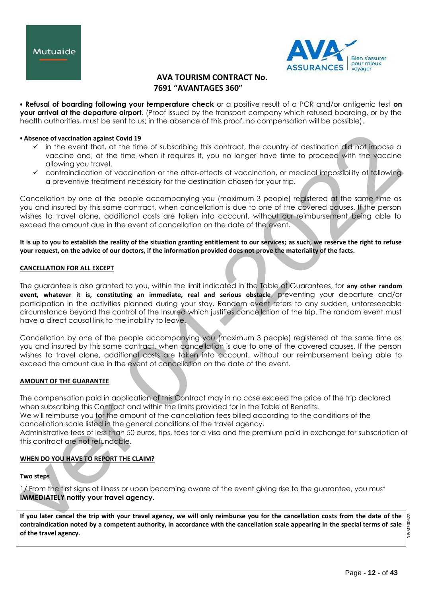



**• Refusal of boarding following your temperature check** or a positive result of a PCR and/or antigenic test **on your arrival at the departure airport**. (Proof issued by the transport company which refused boarding, or by the health authorities, must be sent to us; in the absence of this proof, no compensation will be possible).

## **• Absence of vaccination against Covid 19**

- $\checkmark$  in the event that, at the time of subscribing this contract, the country of destination did not impose a vaccine and, at the time when it requires it, you no longer have time to proceed with the vaccine allowing you travel.
- $\checkmark$  contraindication of vaccination or the after-effects of vaccination, or medical impossibility of following a preventive treatment necessary for the destination chosen for your trip.

Cancellation by one of the people accompanying you (maximum 3 people) registered at the same time as you and insured by this same contract, when cancellation is due to one of the covered causes. If the person wishes to travel alone, additional costs are taken into account, without our reimbursement being able to exceed the amount due in the event of cancellation on the date of the event.

**It is up to you to establish the reality of the situation granting entitlement to our services; as such, we reserve the right to refuse your request, on the advice of our doctors, if the information provided does not prove the materiality of the facts.**

## **CANCELLATION FOR ALL EXCEPT**

The guarantee is also granted to you, within the limit indicated in the Table of Guarantees, for **any other random event, whatever it is, constituting an immediate, real and serious obstacle**, preventing your departure and/or participation in the activities planned during your stay. Random event refers to any sudden, unforeseeable circumstance beyond the control of the Insured which justifies cancellation of the trip. The random event must have a direct causal link to the inability to leave.

Cancellation by one of the people accompanying you (maximum 3 people) registered at the same time as you and insured by this same contract, when cancellation is due to one of the covered causes. If the person wishes to travel alone, additional costs are taken into account, without our reimbursement being able to exceed the amount due in the event of cancellation on the date of the event.

# **AMOUNT OF THE GUARANTEE**

The compensation paid in application of this Contract may in no case exceed the price of the trip declared when subscribing this Contract and within the limits provided for in the Table of Benefits. We will reimburse you for the amount of the cancellation fees billed according to the conditions of the cancellation scale listed in the general conditions of the travel agency. Administrative fees of less than 50 euros, tips, fees for a visa and the premium paid in exchange for subscription of

# **WHEN DO YOU HAVE TO REPORT THE CLAIM?**

this contract are not refundable.

**Two steps**

1/ From the first signs of illness or upon becoming aware of the event giving rise to the guarantee, you must **IMMEDIATELY notify your travel agency.**

**If you later cancel the trip with your travel agency, we will only reimburse you for the cancellation costs from the date of the**  NIVM200622 **contraindication noted by a competent authority, in accordance with the cancellation scale appearing in the special terms of sale NIVM200 of the travel agency.**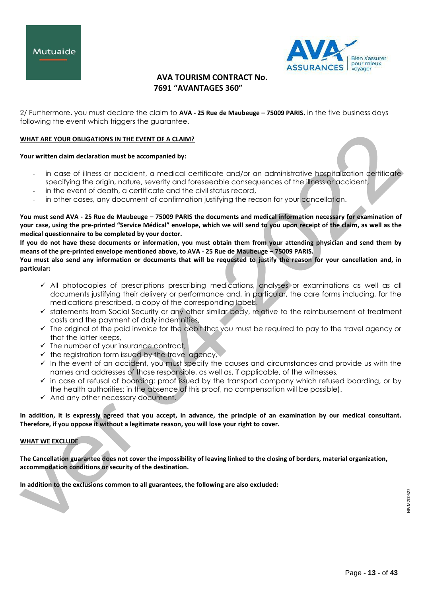



2/ Furthermore, you must declare the claim to **AVA - 25 Rue de Maubeuge – 75009 PARIS**, in the five business days following the event which triggers the guarantee.

## **WHAT ARE YOUR OBLIGATIONS IN THE EVENT OF A CLAIM?**

#### **Your written claim declaration must be accompanied by:**

- in case of illness or accident, a medical certificate and/or an administrative hospitalization certificate specifying the origin, nature, severity and foreseeable consequences of the illness or accident,
- in the event of death, a certificate and the civil status record,
- in other cases, any document of confirmation justifying the reason for your cancellation.

**You must send AVA - 25 Rue de Maubeuge – 75009 PARIS the documents and medical information necessary for examination of your case, using the pre-printed "Service Médical" envelope, which we will send to you upon receipt of the claim, as well as the medical questionnaire to be completed by your doctor.**

**If you do not have these documents or information, you must obtain them from your attending physician and send them by means of the pre-printed envelope mentioned above, to AVA - 25 Rue de Maubeuge – 75009 PARIS.**

**You must also send any information or documents that will be requested to justify the reason for your cancellation and, in particular:**

- $\checkmark$  All photocopies of prescriptions prescribing medications, analyses or examinations as well as all documents justifying their delivery or performance and, in particular, the care forms including, for the medications prescribed, a copy of the corresponding labels.
- $\checkmark$  statements from Social Security or any other similar body, relative to the reimbursement of treatment costs and the payment of daily indemnities,
- $\checkmark$  The original of the paid invoice for the debit that you must be required to pay to the travel agency or that the latter keeps,
- $\checkmark$  The number of your insurance contract,
- $\checkmark$  the registration form issued by the travel agency,
- $\checkmark$  In the event of an accident, you must specify the causes and circumstances and provide us with the names and addresses of those responsible, as well as, if applicable, of the witnesses,
- $\checkmark$  in case of refusal of boarding: proof issued by the transport company which refused boarding, or by the health authorities; in the absence of this proof, no compensation will be possible).
- $\checkmark$  And any other necessary document.

**In addition, it is expressly agreed that you accept, in advance, the principle of an examination by our medical consultant. Therefore, if you oppose it without a legitimate reason, you will lose your right to cover.**

#### **WHAT WE EXCLUDE**

**The Cancellation guarantee does not cover the impossibility of leaving linked to the closing of borders, material organization, accommodation conditions or security of the destination.**

**In addition to the exclusions common to all guarantees, the following are also excluded:**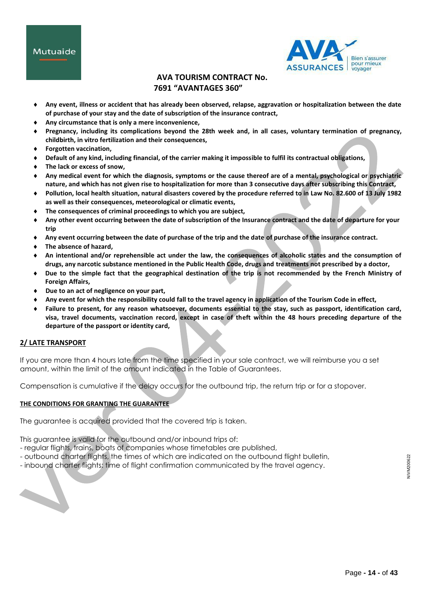

- **Any event, illness or accident that has already been observed, relapse, aggravation or hospitalization between the date of purchase of your stay and the date of subscription of the insurance contract,**
- **Any circumstance that is only a mere inconvenience,**
- **Pregnancy, including its complications beyond the 28th week and, in all cases, voluntary termination of pregnancy, childbirth, in vitro fertilization and their consequences,**
- **Forgotten vaccination,**
- **Default of any kind, including financial, of the carrier making it impossible to fulfil its contractual obligations,**
- **The lack or excess of snow,**
- **Any medical event for which the diagnosis, symptoms or the cause thereof are of a mental, psychological or psychiatric nature, and which has not given rise to hospitalization for more than 3 consecutive days after subscribing this Contract,**
- **Pollution, local health situation, natural disasters covered by the procedure referred to in Law No. 82.600 of 13 July 1982 as well as their consequences, meteorological or climatic events,**
- **The consequences of criminal proceedings to which you are subject,**
- **Any other event occurring between the date of subscription of the Insurance contract and the date of departure for your trip**
- **Any event occurring between the date of purchase of the trip and the date of purchase of the insurance contract.**
- **The absence of hazard,**
- **An intentional and/or reprehensible act under the law, the consequences of alcoholic states and the consumption of drugs, any narcotic substance mentioned in the Public Health Code, drugs and treatments not prescribed by a doctor,**
- **Due to the simple fact that the geographical destination of the trip is not recommended by the French Ministry of Foreign Affairs,**
- **Due to an act of negligence on your part,**
- **Any event for which the responsibility could fall to the travel agency in application of the Tourism Code in effect,**
- **Failure to present, for any reason whatsoever, documents essential to the stay, such as passport, identification card, visa, travel documents, vaccination record, except in case of theft within the 48 hours preceding departure of the departure of the passport or identity card,**

# **2/ LATE TRANSPORT**

If you are more than 4 hours late from the time specified in your sale contract, we will reimburse you a set amount, within the limit of the amount indicated in the Table of Guarantees.

Compensation is cumulative if the delay occurs for the outbound trip, the return trip or for a stopover.

# **THE CONDITIONS FOR GRANTING THE GUARANTEE**

The guarantee is acquired provided that the covered trip is taken.

This guarantee is valid for the outbound and/or inbound trips of:

- regular flights, trains, boats of companies whose timetables are published,
- outbound charter flights, the times of which are indicated on the outbound flight bulletin,
- inbound charter flights: time of flight confirmation communicated by the travel agency.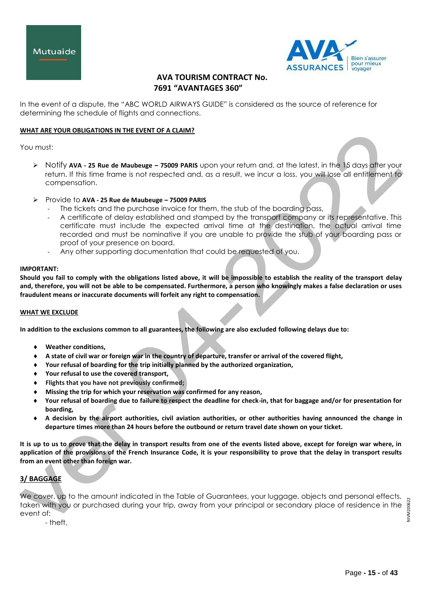



In the event of a dispute, the "ABC WORLD AIRWAYS GUIDE" is considered as the source of reference for determining the schedule of flights and connections.

## **WHAT ARE YOUR OBLIGATIONS IN THE EVENT OF A CLAIM?**

You must:

- Notify **AVA - 25 Rue de Maubeuge – 75009 PARIS** upon your return and, at the latest, in the 15 days after your return. If this time frame is not respected and, as a result, we incur a loss, you will lose all entitlement to compensation.
- Provide to **AVA - 25 Rue de Maubeuge – 75009 PARIS**
	- The tickets and the purchase invoice for them, the stub of the boarding pass,
	- A certificate of delay established and stamped by the transport company or its representative. This certificate must include the expected arrival time at the destination, the actual arrival time recorded and must be nominative if you are unable to provide the stub of your boarding pass or proof of your presence on board.
	- Any other supporting documentation that could be requested of you.

#### **IMPORTANT:**

**Should you fail to comply with the obligations listed above, it will be impossible to establish the reality of the transport delay and, therefore, you will not be able to be compensated. Furthermore, a person who knowingly makes a false declaration or uses fraudulent means or inaccurate documents will forfeit any right to compensation.**

#### **WHAT WE EXCLUDE**

**In addition to the exclusions common to all guarantees, the following are also excluded following delays due to:**

- **Weather conditions,**
- **A state of civil war or foreign war in the country of departure, transfer or arrival of the covered flight,**
- **Your refusal of boarding for the trip initially planned by the authorized organization,**
- **Your refusal to use the covered transport,**
- **Flights that you have not previously confirmed;**
- **Missing the trip for which your reservation was confirmed for any reason,**
- **Your refusal of boarding due to failure to respect the deadline for check-in, that for baggage and/or for presentation for boarding,**
- **A decision by the airport authorities, civil aviation authorities, or other authorities having announced the change in departure times more than 24 hours before the outbound or return travel date shown on your ticket.**

**It is up to us to prove that the delay in transport results from one of the events listed above, except for foreign war where, in application of the provisions of the French Insurance Code, it is your responsibility to prove that the delay in transport results from an event other than foreign war.**

# **3/ BAGGAGE**

We cover, up to the amount indicated in the Table of Guarantees, your luggage, objects and personal effects, 200622 NIVM200622 taken with you or purchased during your trip, away from your principal or secondary place of residence in the event of: NNIN

- theft,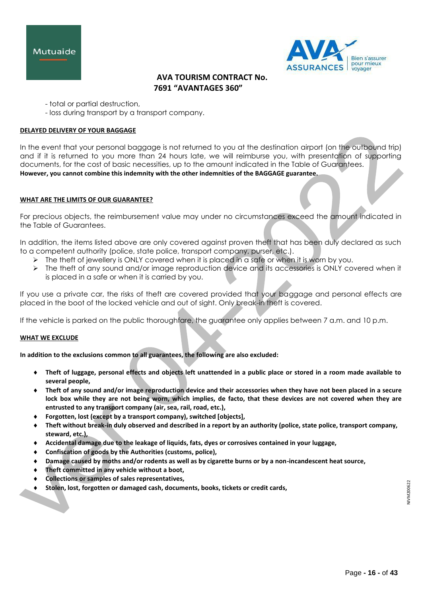



- total or partial destruction,
- loss during transport by a transport company.

## **DELAYED DELIVERY OF YOUR BAGGAGE**

In the event that your personal baggage is not returned to you at the destination airport (on the outbound trip) and if it is returned to you more than 24 hours late, we will reimburse you, with presentation of supporting documents, for the cost of basic necessities, up to the amount indicated in the Table of Guarantees. **However, you cannot combine this indemnity with the other indemnities of the BAGGAGE guarantee.**

#### **WHAT ARE THE LIMITS OF OUR GUARANTEE?**

For precious objects, the reimbursement value may under no circumstances exceed the amount indicated in the Table of Guarantees.

In addition, the items listed above are only covered against proven theft that has been duly declared as such to a competent authority (police, state police, transport company, purser, etc.).

- $\triangleright$  The theft of jewellery is ONLY covered when it is placed in a safe or when it is worn by you.
- $\triangleright$  The theft of any sound and/or image reproduction device and its accessories is ONLY covered when it is placed in a safe or when it is carried by you.

If you use a private car, the risks of theft are covered provided that your baggage and personal effects are placed in the boot of the locked vehicle and out of sight. Only break-in theft is covered.

If the vehicle is parked on the public thoroughfare, the guarantee only applies between 7 a.m. and 10 p.m.

#### **WHAT WE EXCLUDE**

**In addition to the exclusions common to all guarantees, the following are also excluded:**

- **Theft of luggage, personal effects and objects left unattended in a public place or stored in a room made available to several people,**
- **Theft of any sound and/or image reproduction device and their accessories when they have not been placed in a secure lock box while they are not being worn, which implies, de facto, that these devices are not covered when they are entrusted to any transport company (air, sea, rail, road, etc.),**
- **Forgotten, lost (except by a transport company), switched [objects],**
- **Theft without break-in duly observed and described in a report by an authority (police, state police, transport company, steward, etc.),**
- **Accidental damage due to the leakage of liquids, fats, dyes or corrosives contained in your luggage,**
- **Confiscation of goods by the Authorities (customs, police),**
- **Damage caused by moths and/or rodents as well as by cigarette burns or by a non-incandescent heat source,**
- **Theft committed in any vehicle without a boot,**
- **Collections or samples of sales representatives,**
- **Stolen, lost, forgotten or damaged cash, documents, books, tickets or credit cards,**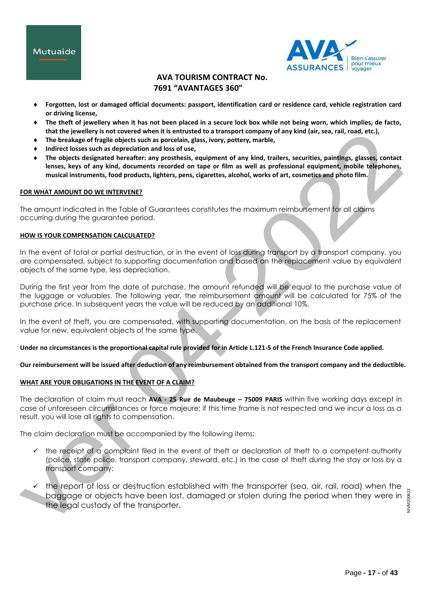



- **Forgotten, lost or damaged official documents: passport, identification card or residence card, vehicle registration card or driving license,**
- **The theft of jewellery when it has not been placed in a secure lock box while not being worn, which implies, de facto, that the jewellery is not covered when it is entrusted to a transport company of any kind (air, sea, rail, road, etc.),**
- **The breakage of fragile objects such as porcelain, glass, ivory, pottery, marble,**
- **Indirect losses such as depreciation and loss of use,**
- **The objects designated hereafter: any prosthesis, equipment of any kind, trailers, securities, paintings, glasses, contact lenses, keys of any kind, documents recorded on tape or film as well as professional equipment, mobile telephones, musical instruments, food products, lighters, pens, cigarettes, alcohol, works of art, cosmetics and photo film.**

## **FOR WHAT AMOUNT DO WE INTERVENE?**

The amount indicated in the Table of Guarantees constitutes the maximum reimbursement for all claims occurring during the guarantee period.

## **HOW IS YOUR COMPENSATION CALCULATED?**

In the event of total or partial destruction, or in the event of loss during transport by a transport company, you are compensated, subject to supporting documentation and based on the replacement value by equivalent objects of the same type, less depreciation.

During the first year from the date of purchase, the amount refunded will be equal to the purchase value of the luggage or valuables. The following year, the reimbursement amount will be calculated for 75% of the purchase price. In subsequent years the value will be reduced by an additional 10%.

In the event of theft, you are compensated, with supporting documentation, on the basis of the replacement value for new, equivalent objects of the same type.

**Under no circumstances is the proportional capital rule provided for in Article L.121-5 of the French Insurance Code applied.**

# **Our reimbursement will be issued after deduction of any reimbursement obtained from the transport company and the deductible.**

# **WHAT ARE YOUR OBLIGATIONS IN THE EVENT OF A CLAIM?**

The declaration of claim must reach **AVA - 25 Rue de Maubeuge – 75009 PARIS** within five working days except in case of unforeseen circumstances or force majeure; if this time frame is not respected and we incur a loss as a result, you will lose all rights to compensation.

The claim declaration must be accompanied by the following items:

- $\checkmark$  the receipt of a complaint filed in the event of theft or declaration of theft to a competent authority (police, state police, transport company, steward, etc.) in the case of theft during the stay or loss by a transport company;
- $\checkmark$  the report of loss or destruction established with the transporter (sea, air, rail, road) when the baggage or objects have been lost, damaged or stolen during the period when they were in  $\frac{3}{8}$ the legal custody of the transporter.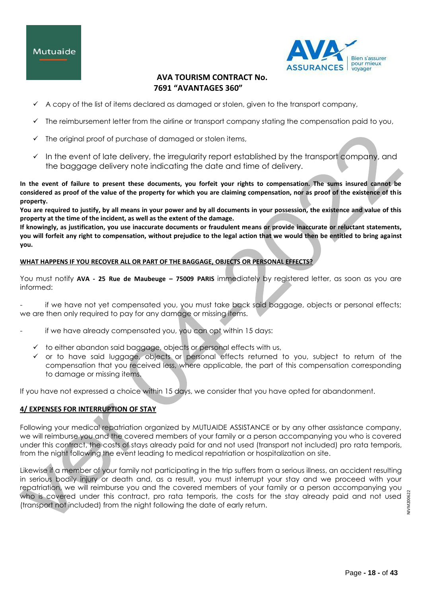# Mutuaide



# **AVA TOURISM CONTRACT No. 7691 "AVANTAGES 360"**

- A copy of the list of items declared as damaged or stolen, given to the transport company,
- The reimbursement letter from the airline or transport company stating the compensation paid to you,
- The original proof of purchase of damaged or stolen items,
- $\checkmark$  In the event of late delivery, the irregularity report established by the transport company, and the baggage delivery note indicating the date and time of delivery.

**In the event of failure to present these documents, you forfeit your rights to compensation. The sums insured cannot be considered as proof of the value of the property for which you are claiming compensation, nor as proof of the existence of this property.**

**You are required to justify, by all means in your power and by all documents in your possession, the existence and value of this property at the time of the incident, as well as the extent of the damage.**

**If knowingly, as justification, you use inaccurate documents or fraudulent means or provide inaccurate or reluctant statements, you will forfeit any right to compensation, without prejudice to the legal action that we would then be entitled to bring against you.**

# **WHAT HAPPENS IF YOU RECOVER ALL OR PART OF THE BAGGAGE, OBJECTS OR PERSONAL EFFECTS?**

You must notify **AVA - 25 Rue de Maubeuge – 75009 PARIS** immediately by registered letter, as soon as you are informed:

if we have not yet compensated you, you must take back said baggage, objects or personal effects; we are then only required to pay for any damage or missing items.

- if we have already compensated you, you can opt within 15 days:
	- $\checkmark$  to either abandon said baggage, objects or personal effects with us,
	- $\checkmark$  or to have said luggage, objects or personal effects returned to you, subject to return of the compensation that you received less, where applicable, the part of this compensation corresponding to damage or missing items.

If you have not expressed a choice within 15 days, we consider that you have opted for abandonment.

# **4/ EXPENSES FOR INTERRUPTION OF STAY**

Following your medical repatriation organized by MUTUAIDE ASSISTANCE or by any other assistance company, we will reimburse you and the covered members of your family or a person accompanying you who is covered under this contract, the costs of stays already paid for and not used (transport not included) pro rata temporis, from the night following the event leading to medical repatriation or hospitalization on site.

Likewise if a member of your family not participating in the trip suffers from a serious illness, an accident resulting in serious bodily injury or death and, as a result, you must interrupt your stay and we proceed with your repatriation, we will reimburse you and the covered members of your family or a person accompanying you who is covered under this contract, pro rata temporis, the costs for the stay already paid and not used (transport not included) from the night following the date of early return.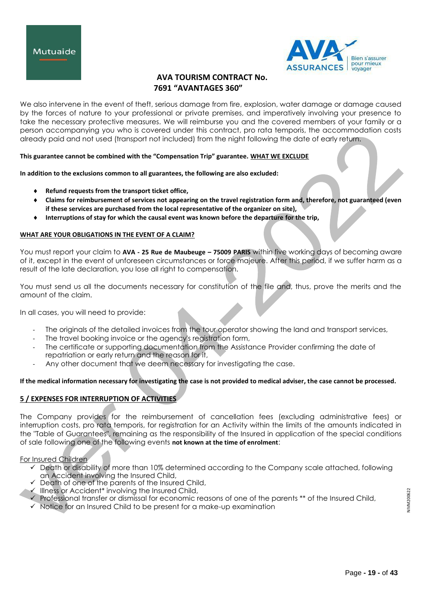



We also intervene in the event of theft, serious damage from fire, explosion, water damage or damage caused by the forces of nature to your professional or private premises, and imperatively involving your presence to take the necessary protective measures. We will reimburse you and the covered members of your family or a person accompanying you who is covered under this contract, pro rata temporis, the accommodation costs already paid and not used (transport not included) from the night following the date of early return.

# **This guarantee cannot be combined with the "Compensation Trip" guarantee. WHAT WE EXCLUDE**

**In addition to the exclusions common to all guarantees, the following are also excluded:**

- **Refund requests from the transport ticket office,**
- **Claims for reimbursement of services not appearing on the travel registration form and, therefore, not guaranteed (even if these services are purchased from the local representative of the organizer on site),**
- **Interruptions of stay for which the causal event was known before the departure for the trip,**

## **WHAT ARE YOUR OBLIGATIONS IN THE EVENT OF A CLAIM?**

You must report your claim to **AVA - 25 Rue de Maubeuge – 75009 PARIS** within five working days of becoming aware of it, except in the event of unforeseen circumstances or force majeure. After this period, if we suffer harm as a result of the late declaration, you lose all right to compensation.

You must send us all the documents necessary for constitution of the file and, thus, prove the merits and the amount of the claim.

In all cases, you will need to provide:

- The originals of the detailed invoices from the tour operator showing the land and transport services,
- The travel booking invoice or the agency's registration form,
- The certificate or supporting documentation from the Assistance Provider confirming the date of repatriation or early return and the reason for it,
- Any other document that we deem necessary for investigating the case.

# **If the medical information necessary for investigating the case is not provided to medical adviser, the case cannot be processed.**

# **5 / EXPENSES FOR INTERRUPTION OF ACTIVITIES**

The Company provides for the reimbursement of cancellation fees (excluding administrative fees) or interruption costs, pro rata temporis, for registration for an Activity within the limits of the amounts indicated in the "Table of Guarantees", remaining as the responsibility of the Insured in application of the special conditions of sale following one of the following events **not known at the time of enrolment**:

For Insured Children

- $\checkmark$  Death or disability of more than 10% determined according to the Company scale attached, following an Accident involving the Insured Child,
- $\checkmark$  Death of one of the parents of the Insured Child,
- $\checkmark$  Illness or Accident\* involving the Insured Child,
- Professional transfer or dismissal for economic reasons of one of the parents \*\* of the Insured Child,
- $\checkmark$  Notice for an Insured Child to be present for a make-up examination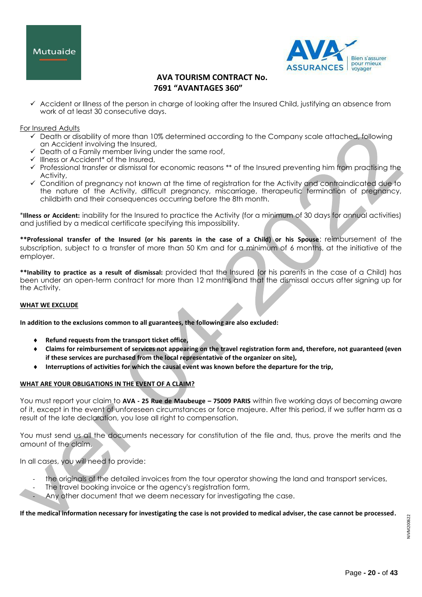



 $\checkmark$  Accident or Illness of the person in charge of looking after the Insured Child, justifying an absence from work of at least 30 consecutive days.

## For Insured Adults

- $\checkmark$  Death or disability of more than 10% determined according to the Company scale attached, following an Accident involving the Insured,
- $\checkmark$  Death of a Family member living under the same roof,
- $\checkmark$  Illness or Accident<sup>\*</sup> of the Insured,
- Professional transfer or dismissal for economic reasons \*\* of the Insured preventing him from practising the Activity,
- Condition of pregnancy not known at the time of registration for the Activity and contraindicated due to the nature of the Activity, difficult pregnancy, miscarriage, therapeutic termination of pregnancy, childbirth and their consequences occurring before the 8th month.

\***Illness or Accident:** inability for the Insured to practice the Activity (for a minimum of 30 days for annual activities) and justified by a medical certificate specifying this impossibility.

**\*\*Professional transfer of the Insured (or his parents in the case of a Child) or his Spouse**: reimbursement of the subscription, subject to a transfer of more than 50 Km and for a minimum of 6 months, at the initiative of the employer.

**\*\*Inability to practice as a result of dismissal:** provided that the Insured (or his parents in the case of a Child) has been under an open-term contract for more than 12 months and that the dismissal occurs after signing up for the Activity.

#### **WHAT WE EXCLUDE**

**In addition to the exclusions common to all guarantees, the following are also excluded:**

- **Refund requests from the transport ticket office,**
- **Claims for reimbursement of services not appearing on the travel registration form and, therefore, not guaranteed (even if these services are purchased from the local representative of the organizer on site),**
- **Interruptions of activities for which the causal event was known before the departure for the trip,**

# **WHAT ARE YOUR OBLIGATIONS IN THE EVENT OF A CLAIM?**

You must report your claim to **AVA - 25 Rue de Maubeuge – 75009 PARIS** within five working days of becoming aware of it, except in the event of unforeseen circumstances or force majeure. After this period, if we suffer harm as a result of the late declaration, you lose all right to compensation.

You must send us all the documents necessary for constitution of the file and, thus, prove the merits and the amount of the claim.

In all cases, you will need to provide:

- the originals of the detailed invoices from the tour operator showing the land and transport services,
- The travel booking invoice or the agency's registration form,
- Any other document that we deem necessary for investigating the case.

**If the medical information necessary for investigating the case is not provided to medical adviser, the case cannot be processed.**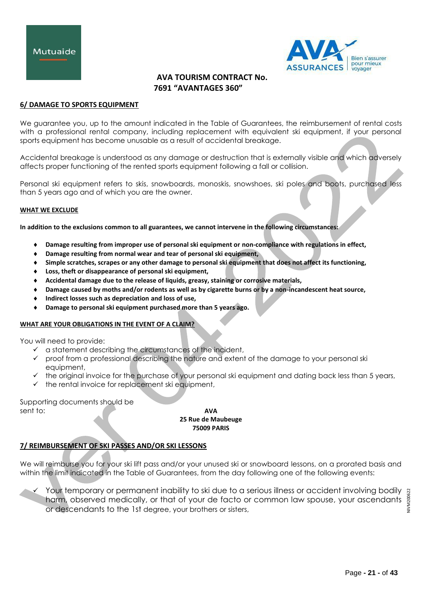

## **6/ DAMAGE TO SPORTS EQUIPMENT**

We guarantee you, up to the amount indicated in the Table of Guarantees, the reimbursement of rental costs with a professional rental company, including replacement with equivalent ski equipment, if your personal sports equipment has become unusable as a result of accidental breakage.

Accidental breakage is understood as any damage or destruction that is externally visible and which adversely affects proper functioning of the rented sports equipment following a fall or collision.

Personal ski equipment refers to skis, snowboards, monoskis, snowshoes, ski poles and boots, purchased less than 5 years ago and of which you are the owner.

#### **WHAT WE EXCLUDE**

**In addition to the exclusions common to all guarantees, we cannot intervene in the following circumstances:**

- **Damage resulting from improper use of personal ski equipment or non-compliance with regulations in effect,**
- **Damage resulting from normal wear and tear of personal ski equipment,**
- **Simple scratches, scrapes or any other damage to personal ski equipment that does not affect its functioning,**
- **Loss, theft or disappearance of personal ski equipment,**
- **Accidental damage due to the release of liquids, greasy, staining or corrosive materials,**
- **Damage caused by moths and/or rodents as well as by cigarette burns or by a non-incandescent heat source,**
- **Indirect losses such as depreciation and loss of use,**
- **Damage to personal ski equipment purchased more than 5 years ago.**

# **WHAT ARE YOUR OBLIGATIONS IN THE EVENT OF A CLAIM?**

You will need to provide:

- $\checkmark$  a statement describing the circumstances of the incident,
- $\checkmark$  proof from a professional describing the nature and extent of the damage to your personal ski equipment,
- $\checkmark$  the original invoice for the purchase of your personal ski equipment and dating back less than 5 years,
- $\checkmark$  the rental invoice for replacement ski equipment,

Supporting documents should be sent to: **AVA** 

**25 Rue de Maubeuge 75009 PARIS**

# **7/ REIMBURSEMENT OF SKI PASSES AND/OR SKI LESSONS**

We will reimburse you for your ski lift pass and/or your unused ski or snowboard lessons, on a prorated basis and within the limit indicated in the Table of Guarantees, from the day following one of the following events:

 $\checkmark$  Your temporary or permanent inability to ski due to a serious illness or accident involving bodily harm, observed medically, or that of your de facto or common law spouse, your ascendants or descendants to the 1st degree, your brothers or sisters,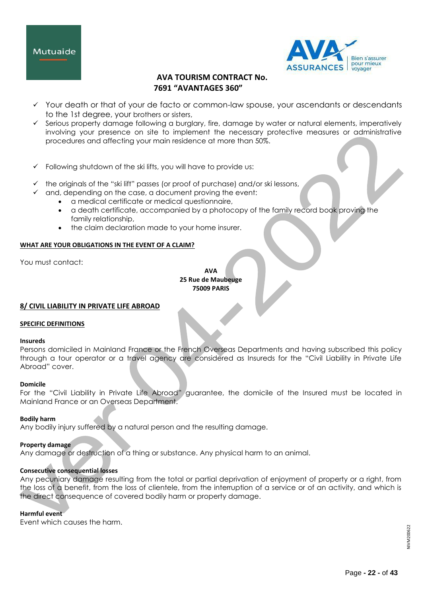



- Y Your death or that of your de facto or common-law spouse, your ascendants or descendants to the 1st degree, your brothers or sisters,
- $\checkmark$  Serious property damage following a burglary, fire, damage by water or natural elements, imperatively involving your presence on site to implement the necessary protective measures or administrative procedures and affecting your main residence at more than 50%.
- $\checkmark$  Following shutdown of the ski lifts, you will have to provide us:
- $\checkmark$  the originals of the "ski lift" passes (or proof of purchase) and/or ski lessons,
	- and, depending on the case, a document proving the event:
		- a medical certificate or medical questionnaire,
		- a death certificate, accompanied by a photocopy of the family record book proving the family relationship,
		- the claim declaration made to your home insurer.

# **WHAT ARE YOUR OBLIGATIONS IN THE EVENT OF A CLAIM?**

You must contact:

**AVA 25 Rue de Maubeuge 75009 PARIS**

# **8/ CIVIL LIABILITY IN PRIVATE LIFE ABROAD**

# **SPECIFIC DEFINITIONS**

#### **Insureds**

Persons domiciled in Mainland France or the French Overseas Departments and having subscribed this policy through a tour operator or a travel agency are considered as Insureds for the "Civil Liability in Private Life Abroad" cover.

# **Domicile**

For the "Civil Liability in Private Life Abroad" guarantee, the domicile of the Insured must be located in Mainland France or an Overseas Department.

# **Bodily harm**

Any bodily injury suffered by a natural person and the resulting damage.

# **Property damage**

Any damage or destruction of a thing or substance. Any physical harm to an animal.

# **Consecutive consequential losses**

Any pecuniary damage resulting from the total or partial deprivation of enjoyment of property or a right, from the loss of a benefit, from the loss of clientele, from the interruption of a service or of an activity, and which is the direct consequence of covered bodily harm or property damage.

# **Harmful event**

Event which causes the harm.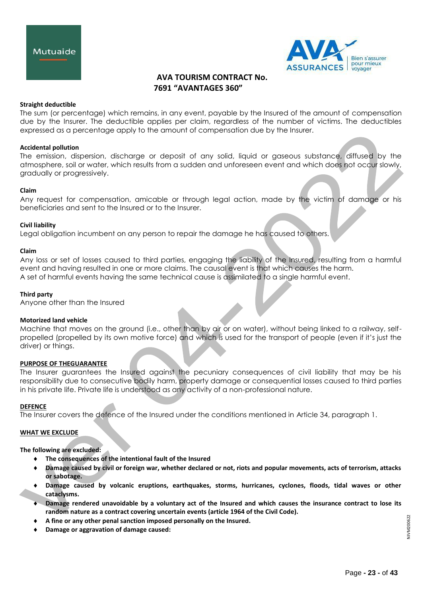



## **Straight deductible**

The sum (or percentage) which remains, in any event, payable by the Insured of the amount of compensation due by the Insurer. The deductible applies per claim, regardless of the number of victims. The deductibles expressed as a percentage apply to the amount of compensation due by the Insurer.

## **Accidental pollution**

The emission, dispersion, discharge or deposit of any solid, liquid or gaseous substance, diffused by the atmosphere, soil or water, which results from a sudden and unforeseen event and which does not occur slowly, gradually or progressively.

#### **Claim**

Any request for compensation, amicable or through legal action, made by the victim of damage or his beneficiaries and sent to the Insured or to the Insurer.

#### **Civil liability**

Legal obligation incumbent on any person to repair the damage he has caused to others.

#### **Claim**

Any loss or set of losses caused to third parties, engaging the liability of the Insured, resulting from a harmful event and having resulted in one or more claims. The causal event is that which causes the harm. A set of harmful events having the same technical cause is assimilated to a single harmful event.

## **Third party**

Anyone other than the Insured

#### **Motorized land vehicle**

Machine that moves on the ground (i.e., other than by air or on water), without being linked to a railway, selfpropelled (propelled by its own motive force) and which is used for the transport of people (even if it's just the driver) or things.

# **PURPOSE OF THEGUARANTEE**

The Insurer guarantees the Insured against the pecuniary consequences of civil liability that may be his responsibility due to consecutive bodily harm, property damage or consequential losses caused to third parties in his private life. Private life is understood as any activity of a non-professional nature.

#### **DEFENCE**

The Insurer covers the defence of the Insured under the conditions mentioned in Article 34, paragraph 1.

#### **WHAT WE EXCLUDE**

**The following are excluded:**

- **The consequences of the intentional fault of the Insured**
- **Damage caused by civil or foreign war, whether declared or not, riots and popular movements, acts of terrorism, attacks or sabotage.**
- **Damage caused by volcanic eruptions, earthquakes, storms, hurricanes, cyclones, floods, tidal waves or other cataclysms.**
- **Damage rendered unavoidable by a voluntary act of the Insured and which causes the insurance contract to lose its random nature as a contract covering uncertain events (article 1964 of the Civil Code).**
- **A fine or any other penal sanction imposed personally on the Insured.**
- **Damage or aggravation of damage caused:**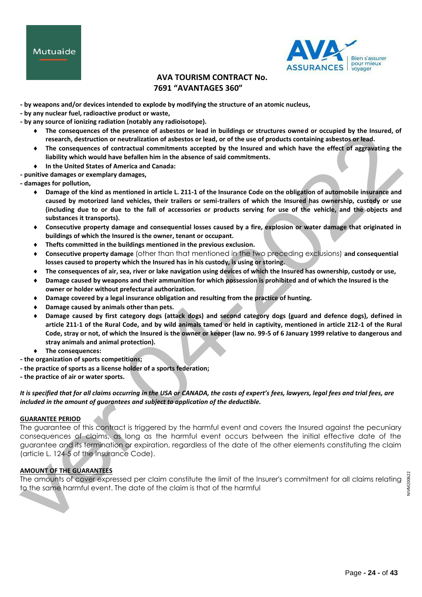



- **- by weapons and/or devices intended to explode by modifying the structure of an atomic nucleus,**
- **- by any nuclear fuel, radioactive product or waste,**
- **- by any source of ionizing radiation (notably any radioisotope).**
	- **The consequences of the presence of asbestos or lead in buildings or structures owned or occupied by the Insured, of research, destruction or neutralization of asbestos or lead, or of the use of products containing asbestos or lead.**
	- **The consequences of contractual commitments accepted by the Insured and which have the effect of aggravating the liability which would have befallen him in the absence of said commitments.**
	- **In the United States of America and Canada:**
- **- punitive damages or exemplary damages,**
- **- damages for pollution,**
	- **Damage of the kind as mentioned in article L. 211-1 of the Insurance Code on the obligation of automobile insurance and caused by motorized land vehicles, their trailers or semi-trailers of which the Insured has ownership, custody or use (including due to or due to the fall of accessories or products serving for use of the vehicle, and the objects and substances it transports).**
	- **Consecutive property damage and consequential losses caused by a fire, explosion or water damage that originated in buildings of which the Insured is the owner, tenant or occupant.**
	- **Thefts committed in the buildings mentioned in the previous exclusion.**
	- **Consecutive property damage** (other than that mentioned in the two preceding exclusions) **and consequential losses caused to property which the Insured has in his custody, is using or storing.**
	- **The consequences of air, sea, river or lake navigation using devices of which the Insured has ownership, custody or use,**
	- **Damage caused by weapons and their ammunition for which possession is prohibited and of which the Insured is the owner or holder without prefectural authorization.**
	- **Damage covered by a legal insurance obligation and resulting from the practice of hunting.**
	- **Damage caused by animals other than pets.**
	- **Damage caused by first category dogs (attack dogs) and second category dogs (guard and defence dogs), defined in article 211-1 of the Rural Code, and by wild animals tamed or held in captivity, mentioned in article 212-1 of the Rural Code, stray or not, of which the Insured is the owner or keeper (law no. 99-5 of 6 January 1999 relative to dangerous and stray animals and animal protection).**
	- **The consequences:**
- **- the organization of sports competitions;**
- **- the practice of sports as a license holder of a sports federation;**
- **- the practice of air or water sports.**

*It is specified that for all claims occurring in the USA or CANADA, the costs of expert's fees, lawyers, legal fees and trial fees, are included in the amount of guarantees and subject to application of the deductible.*

#### **GUARANTEE PERIOD**

The guarantee of this contract is triggered by the harmful event and covers the Insured against the pecuniary consequences of claims, as long as the harmful event occurs between the initial effective date of the guarantee and its termination or expiration, regardless of the date of the other elements constituting the claim (article L. 124-5 of the Insurance Code).

# **AMOUNT OF THE GUARANTEES**

The amounts of cover expressed per claim constitute the limit of the Insurer's commitment for all claims relating to the same harmful event. The date of the claim is that of the harmful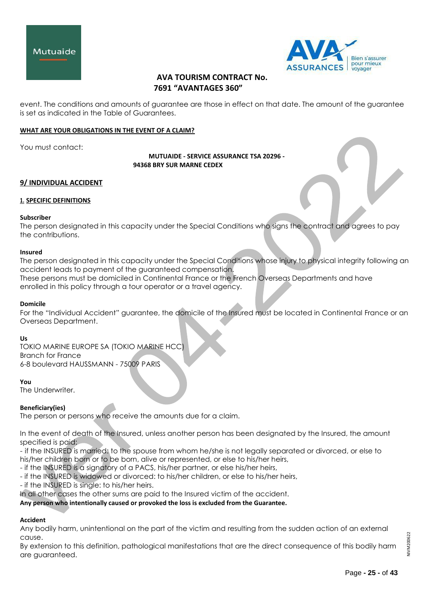



event. The conditions and amounts of guarantee are those in effect on that date. The amount of the guarantee is set as indicated in the Table of Guarantees.

## **WHAT ARE YOUR OBLIGATIONS IN THE EVENT OF A CLAIM?**

You must contact:

**MUTUAIDE - SERVICE ASSURANCE TSA 20296 - 94368 BRY SUR MARNE CEDEX**

## **9/ INDIVIDUAL ACCIDENT**

## **1. SPECIFIC DEFINITIONS**

#### **Subscriber**

The person designated in this capacity under the Special Conditions who signs the contract and agrees to pay the contributions.

#### **Insured**

The person designated in this capacity under the Special Conditions whose injury to physical integrity following an accident leads to payment of the guaranteed compensation.

These persons must be domiciled in Continental France or the French Overseas Departments and have enrolled in this policy through a tour operator or a travel agency.

#### **Domicile**

For the "Individual Accident" guarantee, the domicile of the Insured must be located in Continental France or an Overseas Department.

#### **Us**

TOKIO MARINE EUROPE SA (TOKIO MARINE HCC) Branch for France 6-8 boulevard HAUSSMANN - 75009 PARIS

#### **You**

The Underwriter.

#### **Beneficiary(ies)**

The person or persons who receive the amounts due for a claim.

In the event of death of the Insured, unless another person has been designated by the Insured, the amount specified is paid:

- if the INSURED is married: to the spouse from whom he/she is not legally separated or divorced, or else to his/her children born or to be born, alive or represented, or else to his/her heirs,

- if the INSURED is a signatory of a PACS, his/her partner, or else his/her heirs,

- if the INSURED is widowed or divorced: to his/her children, or else to his/her heirs,

- if the INSURED is single: to his/her heirs.

In all other cases the other sums are paid to the Insured victim of the accident.

**Any person who intentionally caused or provoked the loss is excluded from the Guarantee.**

# **Accident**

Any bodily harm, unintentional on the part of the victim and resulting from the sudden action of an external cause.

By extension to this definition, pathological manifestations that are the direct consequence of this bodily harm are guaranteed.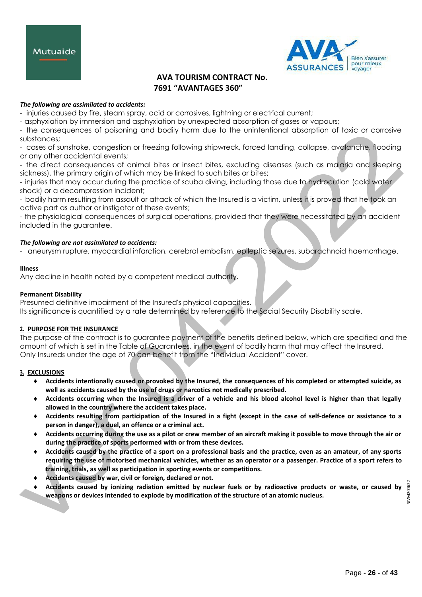



# *The following are assimilated to accidents:*

- injuries caused by fire, steam spray, acid or corrosives, lightning or electrical current;

- asphyxiation by immersion and asphyxiation by unexpected absorption of gases or vapours;

- the consequences of poisoning and bodily harm due to the unintentional absorption of toxic or corrosive substances;

- cases of sunstroke, congestion or freezing following shipwreck, forced landing, collapse, avalanche, flooding or any other accidental events;

- the direct consequences of animal bites or insect bites, excluding diseases (such as malaria and sleeping sickness), the primary origin of which may be linked to such bites or bites;

- injuries that may occur during the practice of scuba diving, including those due to hydrocution (cold water shock) or a decompression incident;

- bodily harm resulting from assault or attack of which the Insured is a victim, unless it is proved that he took an active part as author or instigator of these events;

- the physiological consequences of surgical operations, provided that they were necessitated by an accident included in the guarantee.

## *The following are not assimilated to accidents:*

- aneurysm rupture, myocardial infarction, cerebral embolism, epileptic seizures, subarachnoid haemorrhage.

#### **Illness**

Any decline in health noted by a competent medical authority.

## **Permanent Disability**

Presumed definitive impairment of the Insured's physical capacities. Its significance is quantified by a rate determined by reference to the Social Security Disability scale.

# **2. PURPOSE FOR THE INSURANCE**

The purpose of the contract is to guarantee payment of the benefits defined below, which are specified and the amount of which is set in the Table of Guarantees, in the event of bodily harm that may affect the Insured. Only Insureds under the age of 70 can benefit from the "Individual Accident" cover.

# **3. EXCLUSIONS**

- **Accidents intentionally caused or provoked by the Insured, the consequences of his completed or attempted suicide, as well as accidents caused by the use of drugs or narcotics not medically prescribed.**
- **Accidents occurring when the Insured is a driver of a vehicle and his blood alcohol level is higher than that legally allowed in the country where the accident takes place.**
- **Accidents resulting from participation of the Insured in a fight (except in the case of self-defence or assistance to a person in danger), a duel, an offence or a criminal act.**
- **Accidents occurring during the use as a pilot or crew member of an aircraft making it possible to move through the air or during the practice of sports performed with or from these devices.**
- **Accidents caused by the practice of a sport on a professional basis and the practice, even as an amateur, of any sports requiring the use of motorised mechanical vehicles, whether as an operator or a passenger. Practice of a sport refers to training, trials, as well as participation in sporting events or competitions.**
- **Accidents caused by war, civil or foreign, declared or not.**
- **Accidents caused by ionizing radiation emitted by nuclear fuels or by radioactive products or waste, or caused by weapons or devices intended to explode by modification of the structure of an atomic nucleus.**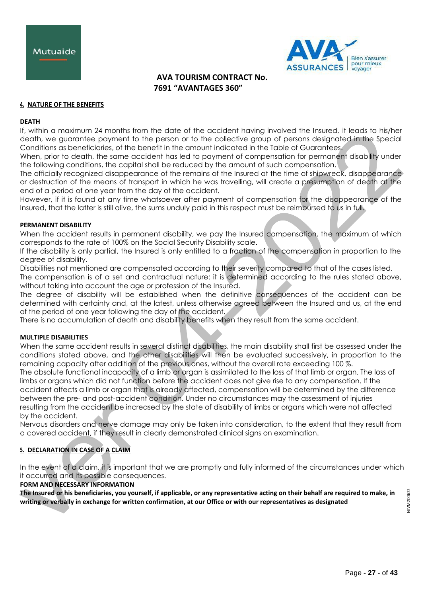



## **4. NATURE OF THE BENEFITS**

#### **DEATH**

If, within a maximum 24 months from the date of the accident having involved the Insured, it leads to his/her death, we guarantee payment to the person or to the collective group of persons designated in the Special Conditions as beneficiaries, of the benefit in the amount indicated in the Table of Guarantees.

When, prior to death, the same accident has led to payment of compensation for permanent disability under the following conditions, the capital shall be reduced by the amount of such compensation.

The officially recognized disappearance of the remains of the Insured at the time of shipwreck, disappearance or destruction of the means of transport in which he was travelling, will create a presumption of death at the end of a period of one year from the day of the accident.

However, if it is found at any time whatsoever after payment of compensation for the disappearance of the Insured, that the latter is still alive, the sums unduly paid in this respect must be reimbursed to us in full.

#### **PERMANENT DISABILITY**

When the accident results in permanent disability, we pay the Insured compensation, the maximum of which corresponds to the rate of 100% on the Social Security Disability scale.

If the disability is only partial, the Insured is only entitled to a fraction of the compensation in proportion to the degree of disability.

Disabilities not mentioned are compensated according to their severity compared to that of the cases listed. The compensation is of a set and contractual nature: it is determined according to the rules stated above, without taking into account the age or profession of the Insured.

The degree of disability will be established when the definitive consequences of the accident can be determined with certainty and, at the latest, unless otherwise agreed between the Insured and us, at the end of the period of one year following the day of the accident.

There is no accumulation of death and disability benefits when they result from the same accident.

## **MULTIPLE DISABILITIES**

When the same accident results in several distinct disabilities, the main disability shall first be assessed under the conditions stated above, and the other disabilities will then be evaluated successively, in proportion to the remaining capacity after addition of the previous ones, without the overall rate exceeding 100 %.

The absolute functional incapacity of a limb or organ is assimilated to the loss of that limb or organ. The loss of limbs or organs which did not function before the accident does not give rise to any compensation. If the accident affects a limb or organ that is already affected, compensation will be determined by the difference between the pre- and post-accident condition. Under no circumstances may the assessment of injuries resulting from the accident be increased by the state of disability of limbs or organs which were not affected by the accident.

Nervous disorders and nerve damage may only be taken into consideration, to the extent that they result from a covered accident, if they result in clearly demonstrated clinical signs on examination.

# **5. DECLARATION IN CASE OF A CLAIM**

In the event of a claim, it is important that we are promptly and fully informed of the circumstances under which it occurred and its possible consequences.

**FORM AND NECESSARY INFORMATION**

**The Insured or his beneficiaries, you yourself, if applicable, or any representative acting on their behalf are required to make, in writing or verbally in exchange for written confirmation, at our Office or with our representatives as designated**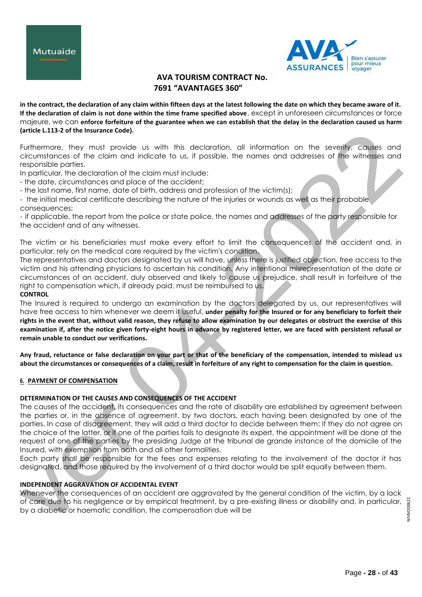



**in the contract, the declaration of any claim within fifteen days at the latest following the date on which they became aware of it. If the declaration of claim is not done within the time frame specified above**, except in unforeseen circumstances or force majeure, we can **enforce forfeiture of the guarantee when we can establish that the delay in the declaration caused us harm (article L.113-2 of the Insurance Code).**

Furthermore, they must provide us with this declaration, all information on the severity, causes and circumstances of the claim and indicate to us, if possible, the names and addresses of the witnesses and responsible parties.

In particular, the declaration of the claim must include:

- the date, circumstances and place of the accident;

- the last name, first name, date of birth, address and profession of the victim(s);

- the initial medical certificate describing the nature of the injuries or wounds as well as their probable consequences;

- if applicable, the report from the police or state police, the names and addresses of the party responsible for the accident and of any witnesses.

The victim or his beneficiaries must make every effort to limit the consequences of the accident and, in particular, rely on the medical care required by the victim's condition.

The representatives and doctors designated by us will have, unless there is justified objection, free access to the victim and his attending physicians to ascertain his condition. Any intentional misrepresentation of the date or circumstances of an accident, duly observed and likely to cause us prejudice, shall result in forfeiture of the right to compensation which, if already paid, must be reimbursed to us.

# **CONTROL**

The Insured is required to undergo an examination by the doctors delegated by us, our representatives will have free access to him whenever we deem it useful, **under penalty for the Insured or for any beneficiary to forfeit their rights in the event that, without valid reason, they refuse to allow examination by our delegates or obstruct the exercise of this examination if, after the notice given forty-eight hours in advance by registered letter, we are faced with persistent refusal or remain unable to conduct our verifications.**

**Any fraud, reluctance or false declaration on your part or that of the beneficiary of the compensation, intended to mislead us about the circumstances or consequences of a claim, result in forfeiture of any right to compensation for the claim in question.**

# **6. PAYMENT OF COMPENSATION**

# **DETERMINATION OF THE CAUSES AND CONSEQUENCES OF THE ACCIDENT**

The causes of the accident, its consequences and the rate of disability are established by agreement between the parties or, in the absence of agreement, by two doctors, each having been designated by one of the parties. In case of disagreement, they will add a third doctor to decide between them; if they do not agree on the choice of the latter, or if one of the parties fails to designate its expert, the appointment will be done at the request of one of the parties by the presiding Judge at the tribunal de grande instance of the domicile of the Insured, with exemption from oath and all other formalities.

Each party shall be responsible for the fees and expenses relating to the involvement of the doctor it has designated, and those required by the involvement of a third doctor would be split equally between them.

# **INDEPENDENT AGGRAVATION OF ACCIDENTAL EVENT**

Whenever the consequences of an accident are aggravated by the general condition of the victim, by a lack of care due to his negligence or by empirical treatment, by a pre-existing illness or disability and, in particular, by a diabetic or haematic condition, the compensation due will be

NIVM200622 NIVM20062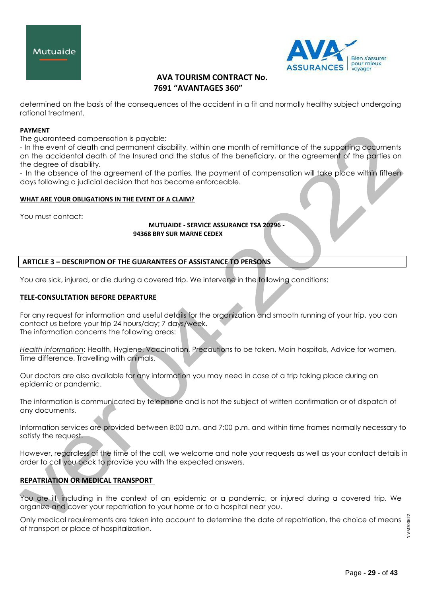



determined on the basis of the consequences of the accident in a fit and normally healthy subject undergoing rational treatment.

# **PAYMENT**

The guaranteed compensation is payable:

- In the event of death and permanent disability, within one month of remittance of the supporting documents on the accidental death of the Insured and the status of the beneficiary, or the agreement of the parties on the degree of disability.

- In the absence of the agreement of the parties, the payment of compensation will take place within fifteen days following a judicial decision that has become enforceable.

## **WHAT ARE YOUR OBLIGATIONS IN THE EVENT OF A CLAIM?**

You must contact:

## **MUTUAIDE - SERVICE ASSURANCE TSA 20296 - 94368 BRY SUR MARNE CEDEX**

# **ARTICLE 3 – DESCRIPTION OF THE GUARANTEES OF ASSISTANCE TO PERSONS**

You are sick, injured, or die during a covered trip. We intervene in the following conditions:

# **TELE-CONSULTATION BEFORE DEPARTURE**

For any request for information and useful details for the organization and smooth running of your trip, you can contact us before your trip 24 hours/day; 7 days/week. The information concerns the following areas:

*Health information*: Health, Hygiene, Vaccination, Precautions to be taken, Main hospitals, Advice for women, Time difference, Travelling with animals.

Our doctors are also available for any information you may need in case of a trip taking place during an epidemic or pandemic.

The information is communicated by telephone and is not the subject of written confirmation or of dispatch of any documents.

Information services are provided between 8:00 a.m. and 7:00 p.m. and within time frames normally necessary to satisfy the request.

However, regardless of the time of the call, we welcome and note your requests as well as your contact details in order to call you back to provide you with the expected answers.

# **REPATRIATION OR MEDICAL TRANSPORT**

You are ill, including in the context of an epidemic or a pandemic, or injured during a covered trip. We organize and cover your repatriation to your home or to a hospital near you.

Only medical requirements are taken into account to determine the date of repatriation, the choice of means of transport or place of hospitalization.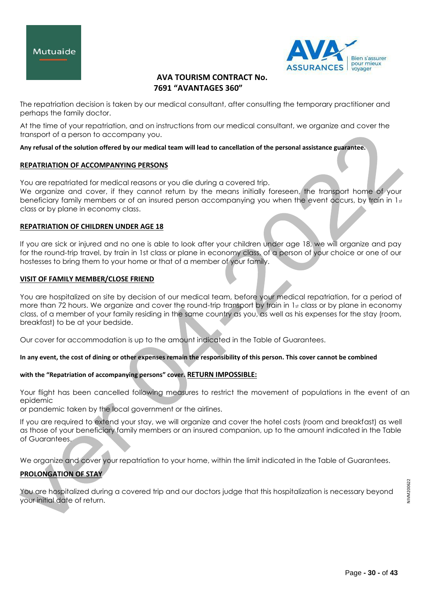



The repatriation decision is taken by our medical consultant, after consulting the temporary practitioner and perhaps the family doctor.

At the time of your repatriation, and on instructions from our medical consultant, we organize and cover the transport of a person to accompany you.

# **Any refusal of the solution offered by our medical team will lead to cancellation of the personal assistance guarantee.**

# **REPATRIATION OF ACCOMPANYING PERSONS**

You are repatriated for medical reasons or you die during a covered trip.

We organize and cover, if they cannot return by the means initially foreseen, the transport home of your beneficiary family members or of an insured person accompanying you when the event occurs, by train in  $1_{st}$ class or by plane in economy class.

# **REPATRIATION OF CHILDREN UNDER AGE 18**

If you are sick or injured and no one is able to look after your children under age 18, we will organize and pay for the round-trip travel, by train in 1st class or plane in economy class, of a person of your choice or one of our hostesses to bring them to your home or that of a member of your family.

# **VISIT OF FAMILY MEMBER/CLOSE FRIEND**

You are hospitalized on site by decision of our medical team, before your medical repatriation, for a period of more than 72 hours. We organize and cover the round-trip transport by train in  $1<sub>st</sub>$  class or by plane in economy class, of a member of your family residing in the same country as you, as well as his expenses for the stay (room, breakfast) to be at your bedside.

Our cover for accommodation is up to the amount indicated in the Table of Guarantees.

# **In any event, the cost of dining or other expenses remain the responsibility of this person. This cover cannot be combined**

# **with the "Repatriation of accompanying persons" cover. RETURN IMPOSSIBLE:**

Your flight has been cancelled following measures to restrict the movement of populations in the event of an epidemic

or pandemic taken by the local government or the airlines.

If you are required to extend your stay, we will organize and cover the hotel costs (room and breakfast) as well as those of your beneficiary family members or an insured companion, up to the amount indicated in the Table of Guarantees.

We organize and cover your repatriation to your home, within the limit indicated in the Table of Guarantees.

# **PROLONGATION OF STAY**

You are hospitalized during a covered trip and our doctors judge that this hospitalization is necessary beyond your initial date of return.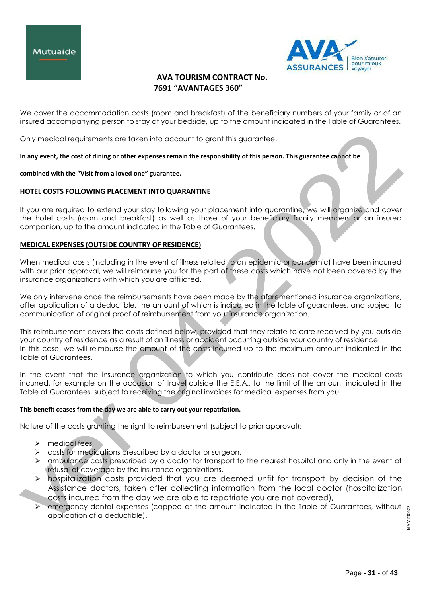



We cover the accommodation costs (room and breakfast) of the beneficiary numbers of your family or of an insured accompanying person to stay at your bedside, up to the amount indicated in the Table of Guarantees.

Only medical requirements are taken into account to grant this guarantee.

**In any event, the cost of dining or other expenses remain the responsibility of this person. This guarantee cannot be** 

#### **combined with the "Visit from a loved one" guarantee.**

# **HOTEL COSTS FOLLOWING PLACEMENT INTO QUARANTINE**

If you are required to extend your stay following your placement into quarantine, we will organize and cover the hotel costs (room and breakfast) as well as those of your beneficiary family members or an insured companion, up to the amount indicated in the Table of Guarantees.

# **MEDICAL EXPENSES (OUTSIDE COUNTRY OF RESIDENCE)**

When medical costs (including in the event of illness related to an epidemic or pandemic) have been incurred with our prior approval, we will reimburse you for the part of these costs which have not been covered by the insurance organizations with which you are affiliated.

We only intervene once the reimbursements have been made by the aforementioned insurance organizations, after application of a deductible, the amount of which is indicated in the table of guarantees, and subject to communication of original proof of reimbursement from your insurance organization.

This reimbursement covers the costs defined below, provided that they relate to care received by you outside your country of residence as a result of an illness or accident occurring outside your country of residence. In this case, we will reimburse the amount of the costs incurred up to the maximum amount indicated in the Table of Guarantees.

In the event that the insurance organization to which you contribute does not cover the medical costs incurred, for example on the occasion of travel outside the E.E.A., to the limit of the amount indicated in the Table of Guarantees, subject to receiving the original invoices for medical expenses from you.

# **This benefit ceases from the day we are able to carry out your repatriation.**

Nature of the costs granting the right to reimbursement (subject to prior approval):

- $\triangleright$  medical fees,
- $\triangleright$  costs for medications prescribed by a doctor or surgeon,
- > ambulance costs prescribed by a doctor for transport to the nearest hospital and only in the event of refusal of coverage by the insurance organizations,
- $\triangleright$  hospitalization costs provided that you are deemed unfit for transport by decision of the Assistance doctors, taken after collecting information from the local doctor (hospitalization costs incurred from the day we are able to repatriate you are not covered),
- emergency dental expenses (capped at the amount indicated in the Table of Guarantees, without application of a deductible).

NIVM200622 NIVM200622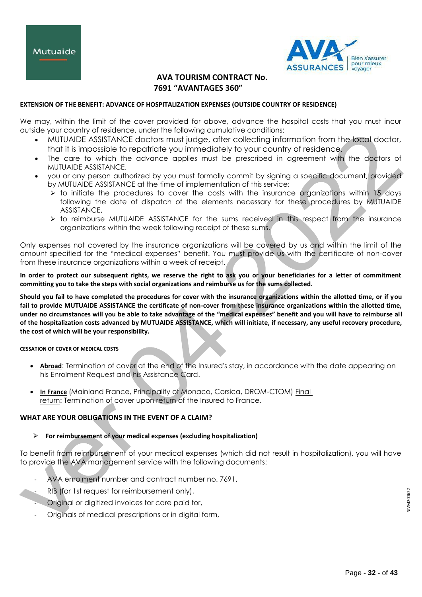

# **EXTENSION OF THE BENEFIT: ADVANCE OF HOSPITALIZATION EXPENSES (OUTSIDE COUNTRY OF RESIDENCE)**

We may, within the limit of the cover provided for above, advance the hospital costs that you must incur outside your country of residence, under the following cumulative conditions:

- MUTUAIDE ASSISTANCE doctors must judge, after collecting information from the local doctor, that it is impossible to repatriate you immediately to your country of residence.
- The care to which the advance applies must be prescribed in agreement with the doctors of MUTUAIDE ASSISTANCE.
- you or any person authorized by you must formally commit by signing a specific document, provided by MUTUAIDE ASSISTANCE at the time of implementation of this service:
	- $\triangleright$  to initiate the procedures to cover the costs with the insurance organizations within 15 days following the date of dispatch of the elements necessary for these procedures by MUTUAIDE ASSISTANCE,
	- $\triangleright$  to reimburse MUTUAIDE ASSISTANCE for the sums received in this respect from the insurance organizations within the week following receipt of these sums.

Only expenses not covered by the insurance organizations will be covered by us and within the limit of the amount specified for the "medical expenses" benefit. You must provide us with the certificate of non-cover from these insurance organizations within a week of receipt.

**In order to protect our subsequent rights, we reserve the right to ask you or your beneficiaries for a letter of commitment committing you to take the steps with social organizations and reimburse us for the sums collected.**

**Should you fail to have completed the procedures for cover with the insurance organizations within the allotted time, or if you fail to provide MUTUAIDE ASSISTANCE the certificate of non-cover from these insurance organizations within the allotted time, under no circumstances will you be able to take advantage of the "medical expenses" benefit and you will have to reimburse all of the hospitalization costs advanced by MUTUAIDE ASSISTANCE, which will initiate, if necessary, any useful recovery procedure, the cost of which will be your responsibility.**

**CESSATION OF COVER OF MEDICAL COSTS**

- **Abroad:** Termination of cover at the end of the Insured's stay, in accordance with the date appearing on his Enrolment Request and his Assistance Card.
- **In France** (Mainland France, Principality of Monaco, Corsica, DROM-CTOM) Final return: Termination of cover upon return of the Insured to France.

# **WHAT ARE YOUR OBLIGATIONS IN THE EVENT OF A CLAIM?**

# **For reimbursement of your medical expenses (excluding hospitalization)**

To benefit from reimbursement of your medical expenses (which did not result in hospitalization), you will have to provide the AVA management service with the following documents:

- AVA enrolment number and contract number no. 7691,
- RIB (for 1st request for reimbursement only),
- Original or digitized invoices for care paid for,
- Originals of medical prescriptions or in digital form,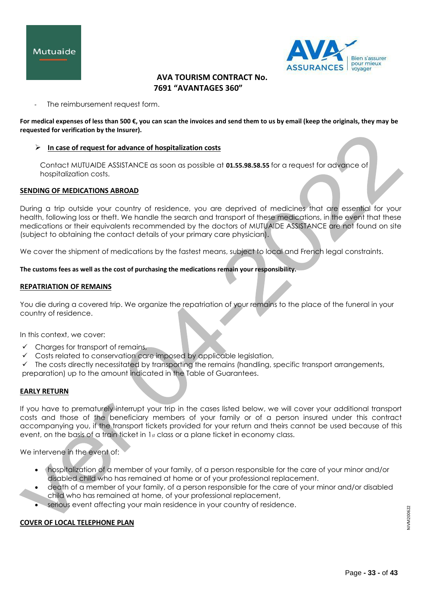



The reimbursement request form.

**For medical expenses of less than 500 €, you can scan the invoices and send them to us by email (keep the originals, they may be requested for verification by the Insurer).**

## **In case of request for advance of hospitalization costs**

Contact MUTUAIDE ASSISTANCE as soon as possible at **01.55.98.58.55** for a request for advance of hospitalization costs.

## **SENDING OF MEDICATIONS ABROAD**

During a trip outside your country of residence, you are deprived of medicines that are essential for your health, following loss or theft. We handle the search and transport of these medications, in the event that these medications or their equivalents recommended by the doctors of MUTUAIDE ASSISTANCE are not found on site (subject to obtaining the contact details of your primary care physician).

We cover the shipment of medications by the fastest means, subject to local and French legal constraints.

## **The customs fees as well as the cost of purchasing the medications remain your responsibility.**

## **REPATRIATION OF REMAINS**

You die during a covered trip. We organize the repatriation of your remains to the place of the funeral in your country of residence.

In this context, we cover:

- $\checkmark$  Charges for transport of remains,
- $\checkmark$  Costs related to conservation care imposed by applicable legislation,

 $\checkmark$  The costs directly necessitated by transporting the remains (handling, specific transport arrangements, preparation) up to the amount indicated in the Table of Guarantees.

# **EARLY RETURN**

If you have to prematurely interrupt your trip in the cases listed below, we will cover your additional transport costs and those of the beneficiary members of your family or of a person insured under this contract accompanying you, if the transport tickets provided for your return and theirs cannot be used because of this event, on the basis of a train ticket in  $1<sub>st</sub>$  class or a plane ticket in economy class.

We intervene in the event of:

- hospitalization of a member of your family, of a person responsible for the care of your minor and/or disabled child who has remained at home or of your professional replacement.
- death of a member of your family, of a person responsible for the care of your minor and/or disabled child who has remained at home, of your professional replacement,
- serious event affecting your main residence in your country of residence.

#### **COVER OF LOCAL TELEPHONE PLAN**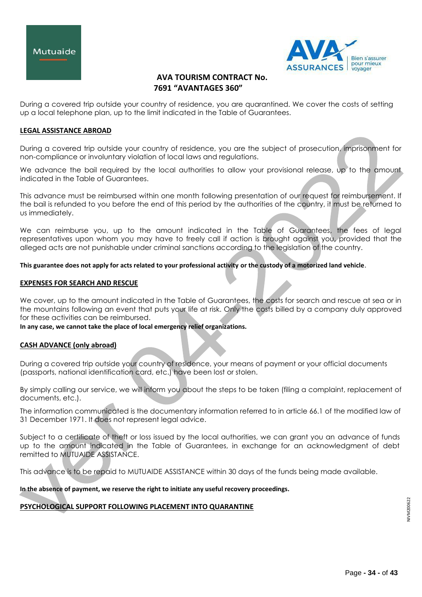



During a covered trip outside your country of residence, you are quarantined. We cover the costs of setting up a local telephone plan, up to the limit indicated in the Table of Guarantees.

# **LEGAL ASSISTANCE ABROAD**

During a covered trip outside your country of residence, you are the subject of prosecution, imprisonment for non-compliance or involuntary violation of local laws and regulations.

We advance the bail required by the local authorities to allow your provisional release, up to the amount indicated in the Table of Guarantees.

This advance must be reimbursed within one month following presentation of our request for reimbursement. If the bail is refunded to you before the end of this period by the authorities of the country, it must be returned to us immediately.

We can reimburse you, up to the amount indicated in the Table of Guarantees, the fees of legal representatives upon whom you may have to freely call if action is brought against you, provided that the alleged acts are not punishable under criminal sanctions according to the legislation of the country.

## **This guarantee does not apply for acts related to your professional activity or the custody of a motorized land vehicle**.

## **EXPENSES FOR SEARCH AND RESCUE**

We cover, up to the amount indicated in the Table of Guarantees, the costs for search and rescue at sea or in the mountains following an event that puts your life at risk. Only the costs billed by a company duly approved for these activities can be reimbursed.

#### **In any case, we cannot take the place of local emergency relief organizations.**

# **CASH ADVANCE (only abroad)**

During a covered trip outside your country of residence, your means of payment or your official documents (passports, national identification card, etc.) have been lost or stolen.

By simply calling our service, we will inform you about the steps to be taken (filing a complaint, replacement of documents, etc.).

The information communicated is the documentary information referred to in article 66.1 of the modified law of 31 December 1971. It does not represent legal advice.

Subject to a certificate of theft or loss issued by the local authorities, we can grant you an advance of funds up to the amount indicated in the Table of Guarantees, in exchange for an acknowledgment of debt remitted to MUTUAIDE ASSISTANCE.

This advance is to be repaid to MUTUAIDE ASSISTANCE within 30 days of the funds being made available.

#### **In the absence of payment, we reserve the right to initiate any useful recovery proceedings.**

# **PSYCHOLOGICAL SUPPORT FOLLOWING PLACEMENT INTO QUARANTINE**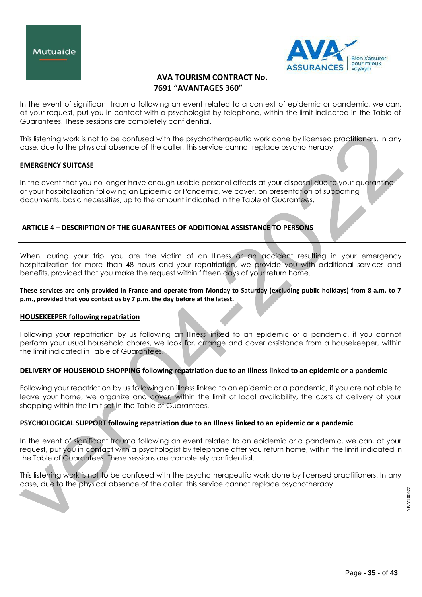



In the event of significant trauma following an event related to a context of epidemic or pandemic, we can, at your request, put you in contact with a psychologist by telephone, within the limit indicated in the Table of Guarantees. These sessions are completely confidential.

This listening work is not to be confused with the psychotherapeutic work done by licensed practitioners. In any case, due to the physical absence of the caller, this service cannot replace psychotherapy.

## **EMERGENCY SUITCASE**

In the event that you no longer have enough usable personal effects at your disposal due to your quarantine or your hospitalization following an Epidemic or Pandemic, we cover, on presentation of supporting documents, basic necessities, up to the amount indicated in the Table of Guarantees.

# **ARTICLE 4 – DESCRIPTION OF THE GUARANTEES OF ADDITIONAL ASSISTANCE TO PERSONS**

When, during your trip, you are the victim of an Illness or an accident resulting in your emergency hospitalization for more than 48 hours and your repatriation, we provide you with additional services and benefits, provided that you make the request within fifteen days of your return home.

## **These services are only provided in France and operate from Monday to Saturday (excluding public holidays) from 8 a.m. to 7 p.m., provided that you contact us by 7 p.m. the day before at the latest.**

#### **HOUSEKEEPER following repatriation**

Following your repatriation by us following an Illness linked to an epidemic or a pandemic, if you cannot perform your usual household chores, we look for, arrange and cover assistance from a housekeeper, within the limit indicated in Table of Guarantees.

# **DELIVERY OF HOUSEHOLD SHOPPING following repatriation due to an illness linked to an epidemic or a pandemic**

Following your repatriation by us following an illness linked to an epidemic or a pandemic, if you are not able to leave your home, we organize and cover, within the limit of local availability, the costs of delivery of your shopping within the limit set in the Table of Guarantees.

# **PSYCHOLOGICAL SUPPORT following repatriation due to an Illness linked to an epidemic or a pandemic**

In the event of significant trauma following an event related to an epidemic or a pandemic, we can, at your request, put you in contact with a psychologist by telephone after you return home, within the limit indicated in the Table of Guarantees. These sessions are completely confidential.

This listening work is not to be confused with the psychotherapeutic work done by licensed practitioners. In any case, due to the physical absence of the caller, this service cannot replace psychotherapy.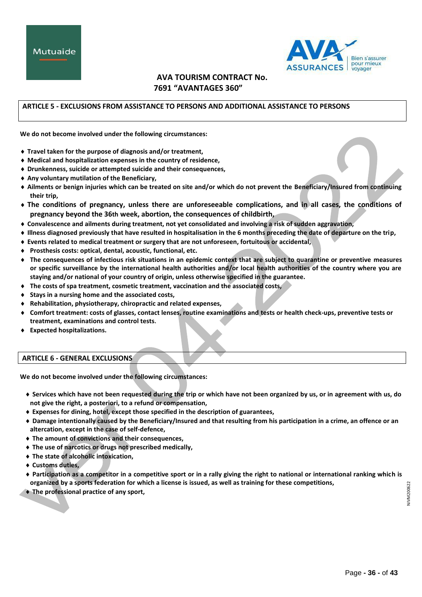

# **ARTICLE 5 - EXCLUSIONS FROM ASSISTANCE TO PERSONS AND ADDITIONAL ASSISTANCE TO PERSONS**

**We do not become involved under the following circumstances:**

- **Travel taken for the purpose of diagnosis and/or treatment,**
- **Medical and hospitalization expenses in the country of residence,**
- **Drunkenness, suicide or attempted suicide and their consequences,**
- **Any voluntary mutilation of the Beneficiary,**
- **Ailments or benign injuries which can be treated on site and/or which do not prevent the Beneficiary/Insured from continuing their trip,**
- **The conditions of pregnancy, unless there are unforeseeable complications, and in all cases, the conditions of pregnancy beyond the 36th week, abortion, the consequences of childbirth,**
- **Convalescence and ailments during treatment, not yet consolidated and involving a risk of sudden aggravation,**
- **Illness diagnosed previously that have resulted in hospitalisation in the 6 months preceding the date of departure on the trip,**
- **Events related to medical treatment or surgery that are not unforeseen, fortuitous or accidental,**
- **Prosthesis costs: optical, dental, acoustic, functional, etc.**
- **The consequences of infectious risk situations in an epidemic context that are subject to quarantine or preventive measures or specific surveillance by the international health authorities and/or local health authorities of the country where you are staying and/or national of your country of origin, unless otherwise specified in the guarantee.**
- **The costs of spa treatment, cosmetic treatment, vaccination and the associated costs,**
- **Stays in a nursing home and the associated costs,**
- **Rehabilitation, physiotherapy, chiropractic and related expenses,**
- **Comfort treatment: costs of glasses, contact lenses, routine examinations and tests or health check-ups, preventive tests or treatment, examinations and control tests.**
- **Expected hospitalizations.**

# **ARTICLE 6 - GENERAL EXCLUSIONS**

**We do not become involved under the following circumstances:**

- **Services which have not been requested during the trip or which have not been organized by us, or in agreement with us, do not give the right, a posteriori, to a refund or compensation,**
- **Expenses for dining, hotel, except those specified in the description of guarantees,**
- **Damage intentionally caused by the Beneficiary/Insured and that resulting from his participation in a crime, an offence or an altercation, except in the case of self-defence,**
- **The amount of convictions and their consequences,**
- **The use of narcotics or drugs not prescribed medically,**
- **The state of alcoholic intoxication,**
- **Customs duties,**
- **Participation as a competitor in a competitive sport or in a rally giving the right to national or international ranking which is organized by a sports federation for which a license is issued, as well as training for these competitions,**
- **The professional practice of any sport,**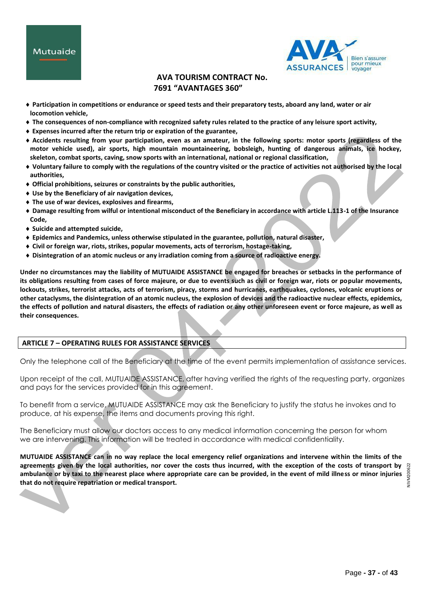



- **Participation in competitions or endurance or speed tests and their preparatory tests, aboard any land, water or air locomotion vehicle,**
- **The consequences of non-compliance with recognized safety rules related to the practice of any leisure sport activity,**
- **Expenses incurred after the return trip or expiration of the guarantee,**
- **Accidents resulting from your participation, even as an amateur, in the following sports: motor sports (regardless of the motor vehicle used), air sports, high mountain mountaineering, bobsleigh, hunting of dangerous animals, ice hockey, skeleton, combat sports, caving, snow sports with an international, national or regional classification,**
- **Voluntary failure to comply with the regulations of the country visited or the practice of activities not authorised by the local authorities,**
- **Official prohibitions, seizures or constraints by the public authorities,**
- **Use by the Beneficiary of air navigation devices,**
- **The use of war devices, explosives and firearms,**
- **Damage resulting from wilful or intentional misconduct of the Beneficiary in accordance with article L.113-1 of the Insurance Code,**
- **Suicide and attempted suicide,**
- **Epidemics and Pandemics, unless otherwise stipulated in the guarantee, pollution, natural disaster,**
- **Civil or foreign war, riots, strikes, popular movements, acts of terrorism, hostage-taking,**
- **Disintegration of an atomic nucleus or any irradiation coming from a source of radioactive energy.**

**Under no circumstances may the liability of MUTUAIDE ASSISTANCE be engaged for breaches or setbacks in the performance of its obligations resulting from cases of force majeure, or due to events such as civil or foreign war, riots or popular movements, lockouts, strikes, terrorist attacks, acts of terrorism, piracy, storms and hurricanes, earthquakes, cyclones, volcanic eruptions or other cataclysms, the disintegration of an atomic nucleus, the explosion of devices and the radioactive nuclear effects, epidemics, the effects of pollution and natural disasters, the effects of radiation or any other unforeseen event or force majeure, as well as their consequences.**

# **ARTICLE 7 – OPERATING RULES FOR ASSISTANCE SERVICES**

Only the telephone call of the Beneficiary at the time of the event permits implementation of assistance services.

Upon receipt of the call, MUTUAIDE ASSISTANCE, after having verified the rights of the requesting party, organizes and pays for the services provided for in this agreement.

To benefit from a service, MUTUAIDE ASSISTANCE may ask the Beneficiary to justify the status he invokes and to produce, at his expense, the items and documents proving this right.

The Beneficiary must allow our doctors access to any medical information concerning the person for whom we are intervening. This information will be treated in accordance with medical confidentiality.

**MUTUAIDE ASSISTANCE can in no way replace the local emergency relief organizations and intervene within the limits of the agreements given by the local authorities, nor cover the costs thus incurred, with the exception of the costs of transport by ambulance or by taxi to the nearest place where appropriate care can be provided, in the event of mild illness or minor injuries that do not require repatriation or medical transport.**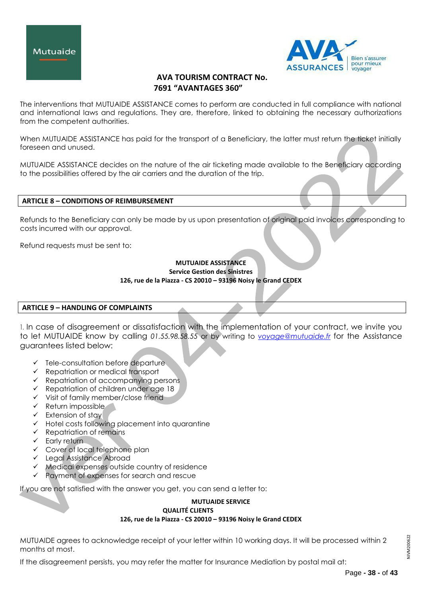



The interventions that MUTUAIDE ASSISTANCE comes to perform are conducted in full compliance with national and international laws and regulations. They are, therefore, linked to obtaining the necessary authorizations from the competent authorities.

When MUTUAIDE ASSISTANCE has paid for the transport of a Beneficiary, the latter must return the ticket initially foreseen and unused.

MUTUAIDE ASSISTANCE decides on the nature of the air ticketing made available to the Beneficiary according to the possibilities offered by the air carriers and the duration of the trip.

# **ARTICLE 8 – CONDITIONS OF REIMBURSEMENT**

Refunds to the Beneficiary can only be made by us upon presentation of original paid invoices corresponding to costs incurred with our approval.

Refund requests must be sent to:

## **MUTUAIDE ASSISTANCE Service Gestion des Sinistres 126, rue de la Piazza - CS 20010 – 93196 Noisy le Grand CEDEX**

# **ARTICLE 9 – HANDLING OF COMPLAINTS**

1. In case of disagreement or dissatisfaction with the implementation of your contract, we invite you to let MUTUAIDE know by calling *01.55.98.58.55* or by writing to *[voyage@mutuaide.fr](mailto:voyage@mutuaide.fr)* for the Assistance guarantees listed below:

- $\checkmark$  Tele-consultation before departure
- $\checkmark$  Repatriation or medical transport
- $\checkmark$  Repatriation of accompanying persons
- $\checkmark$  Repatriation of children under age 18
- $\checkmark$  Visit of family member/close friend
- $\checkmark$  Return impossible
- $\checkmark$  Extension of stay
- $\checkmark$  Hotel costs following placement into quarantine
- $\checkmark$  Repatriation of remains
- $\checkmark$  Early return
- Cover of local telephone plan
- Legal Assistance Abroad
- $\checkmark$  Medical expenses outside country of residence
- $\checkmark$  Payment of expenses for search and rescue

If you are not satisfied with the answer you get, you can send a letter to:

#### **MUTUAIDE SERVICE QUALITÉ CLIENTS**

**126, rue de la Piazza - CS 20010 – 93196 Noisy le Grand CEDEX**

MUTUAIDE agrees to acknowledge receipt of your letter within 10 working days. It will be processed within 2 months at most.

If the disagreement persists, you may refer the matter for Insurance Mediation by postal mail at: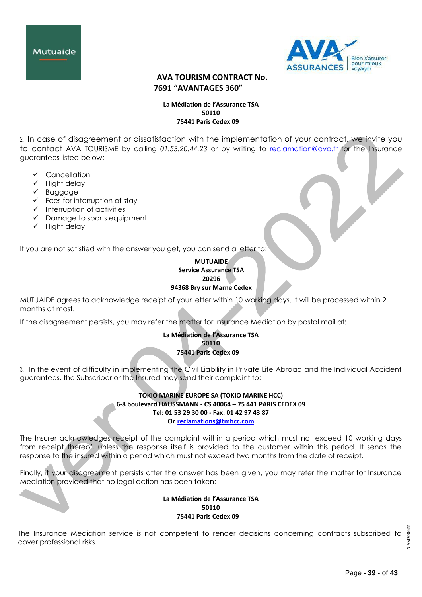



## **La Médiation de l'Assurance TSA 50110 75441 Paris Cedex 09**

2. In case of disagreement or dissatisfaction with the implementation of your contract, we invite you to contact AVA TOURISME by calling *01.53.20.44.23* or by writing to [reclamation@ava.fr](mailto:reclamation@ava.fr) for the Insurance guarantees listed below:

- Cancellation
- $\checkmark$  Flight delay
- $\checkmark$  Baggage
- $\checkmark$  Fees for interruption of stay
- $\checkmark$  Interruption of activities
- $\checkmark$  Damage to sports equipment
- $\checkmark$  Flight delay

If you are not satisfied with the answer you get, you can send a letter to:

## **MUTUAIDE Service Assurance TSA 20296 94368 Bry sur Marne Cedex**

MUTUAIDE agrees to acknowledge receipt of your letter within 10 working days. It will be processed within 2 months at most.

If the disagreement persists, you may refer the matter for Insurance Mediation by postal mail at:

# **La Médiation de l'Assurance TSA 50110 75441 Paris Cedex 09**

3. In the event of difficulty in implementing the Civil Liability in Private Life Abroad and the Individual Accident guarantees, the Subscriber or the Insured may send their complaint to:

# **TOKIO MARINE EUROPE SA (TOKIO MARINE HCC) 6-8 boulevard HAUSSMANN - CS 40064 – 75 441 PARIS CEDEX 09 Tel: 01 53 29 30 00 - Fax: 01 42 97 43 87 Or [reclamations@tmhcc.com](mailto:reclamations@tmhcc.com)**

The Insurer acknowledges receipt of the complaint within a period which must not exceed 10 working days from receipt thereof, unless the response itself is provided to the customer within this period. It sends the response to the insured within a period which must not exceed two months from the date of receipt.

Finally, if your disagreement persists after the answer has been given, you may refer the matter for Insurance Mediation provided that no legal action has been taken:

> **La Médiation de l'Assurance TSA 50110 75441 Paris Cedex 09**

NIVM200622 NIVM20062 The Insurance Mediation service is not competent to render decisions concerning contracts subscribed to cover professional risks.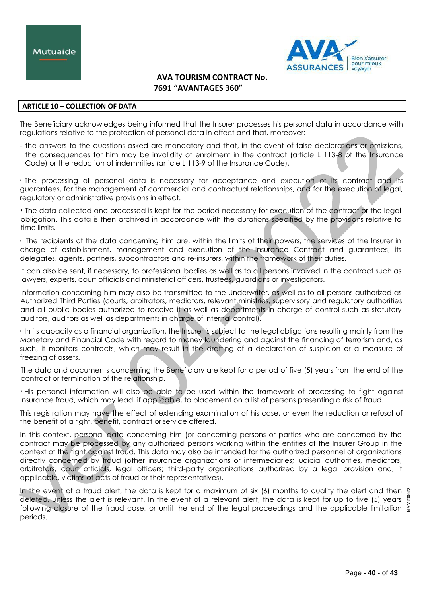

## **ARTICLE 10 – COLLECTION OF DATA**

The Beneficiary acknowledges being informed that the Insurer processes his personal data in accordance with regulations relative to the protection of personal data in effect and that, moreover:

- the answers to the questions asked are mandatory and that, in the event of false declarations or omissions, the consequences for him may be invalidity of enrolment in the contract (article L 113-8 of the Insurance Code) or the reduction of indemnities (article L 113-9 of the Insurance Code),

• The processing of personal data is necessary for acceptance and execution of its contract and its guarantees, for the management of commercial and contractual relationships, and for the execution of legal, regulatory or administrative provisions in effect.

• The data collected and processed is kept for the period necessary for execution of the contract or the legal obligation. This data is then archived in accordance with the durations specified by the provisions relative to time limits.

• The recipients of the data concerning him are, within the limits of their powers, the services of the Insurer in charge of establishment, management and execution of the Insurance Contract and guarantees, its delegates, agents, partners, subcontractors and re-insurers, within the framework of their duties.

It can also be sent, if necessary, to professional bodies as well as to all persons involved in the contract such as lawyers, experts, court officials and ministerial officers, trustees, guardians or investigators.

Information concerning him may also be transmitted to the Underwriter, as well as to all persons authorized as Authorized Third Parties (courts, arbitrators, mediators, relevant ministries, supervisory and regulatory authorities and all public bodies authorized to receive it as well as departments in charge of control such as statutory auditors, auditors as well as departments in charge of internal control).

• In its capacity as a financial organization, the Insurer is subject to the legal obligations resulting mainly from the Monetary and Financial Code with regard to money laundering and against the financing of terrorism and, as such, it monitors contracts, which may result in the drafting of a declaration of suspicion or a measure of freezing of assets.

The data and documents concerning the Beneficiary are kept for a period of five (5) years from the end of the contract or termination of the relationship.

• His personal information will also be able to be used within the framework of processing to fight against insurance fraud, which may lead, if applicable, to placement on a list of persons presenting a risk of fraud.

This registration may have the effect of extending examination of his case, or even the reduction or refusal of the benefit of a right, benefit, contract or service offered.

In this context, personal data concerning him (or concerning persons or parties who are concerned by the contract may be processed by any authorized persons working within the entities of the Insurer Group in the context of the fight against fraud. This data may also be intended for the authorized personnel of organizations directly concerned by fraud (other insurance organizations or intermediaries; judicial authorities, mediators, arbitrators, court officials, legal officers; third-party organizations authorized by a legal provision and, if applicable, victims of acts of fraud or their representatives).

In the event of a fraud alert, the data is kept for a maximum of six (6) months to qualify the alert and then  $\frac{10}{9}$ deleted, unless the alert is relevant. In the event of a relevant alert, the data is kept for up to five (5) years  $\frac{8}{2}$ following closure of the fraud case, or until the end of the legal proceedings and the applicable limitation  $\frac{5}{5}$ periods. NIVM200622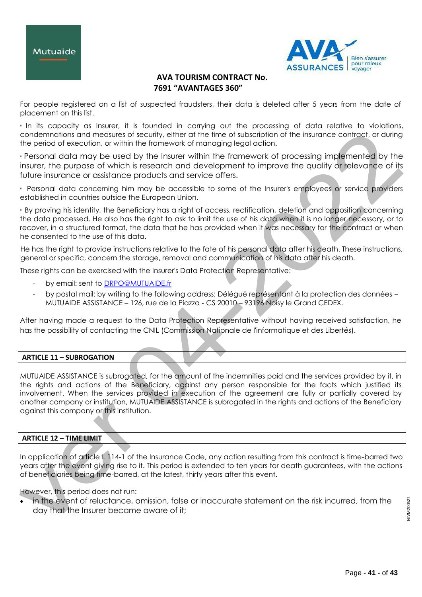



For people registered on a list of suspected fraudsters, their data is deleted after 5 years from the date of placement on this list.

• In its capacity as Insurer, it is founded in carrying out the processing of data relative to violations, condemnations and measures of security, either at the time of subscription of the insurance contract, or during the period of execution, or within the framework of managing legal action.

• Personal data may be used by the Insurer within the framework of processing implemented by the insurer, the purpose of which is research and development to improve the quality or relevance of its future insurance or assistance products and service offers.

• Personal data concerning him may be accessible to some of the Insurer's employees or service providers established in countries outside the European Union.

• By proving his identity, the Beneficiary has a right of access, rectification, deletion and opposition concerning the data processed. He also has the right to ask to limit the use of his data when it is no longer necessary, or to recover, in a structured format, the data that he has provided when it was necessary for the contract or when he consented to the use of this data.

He has the right to provide instructions relative to the fate of his personal data after his death. These instructions, general or specific, concern the storage, removal and communication of his data after his death.

These rights can be exercised with the Insurer's Data Protection Representative:

- by email: sent to [DRPO@MUTUAIDE.fr](mailto:DRPO@MUTUAIDE.fr)
- by postal mail: by writing to the following address: Délégué représentant à la protection des données MUTUAIDE ASSISTANCE – 126, rue de la Piazza - CS 20010 – 93196 Noisy le Grand CEDEX.

After having made a request to the Data Protection Representative without having received satisfaction, he has the possibility of contacting the CNIL (Commission Nationale de l'informatique et des Libertés).

# **ARTICLE 11 – SUBROGATION**

MUTUAIDE ASSISTANCE is subrogated, for the amount of the indemnities paid and the services provided by it, in the rights and actions of the Beneficiary, against any person responsible for the facts which justified its involvement. When the services provided in execution of the agreement are fully or partially covered by another company or institution, MUTUAIDE ASSISTANCE is subrogated in the rights and actions of the Beneficiary against this company or this institution.

# **ARTICLE 12 – TIME LIMIT**

In application of article L 114-1 of the Insurance Code, any action resulting from this contract is time-barred two years after the event giving rise to it. This period is extended to ten years for death guarantees, with the actions of beneficiaries being time-barred, at the latest, thirty years after this event.

However, this period does not run:

 in the event of reluctance, omission, false or inaccurate statement on the risk incurred, from the day that the Insurer became aware of it;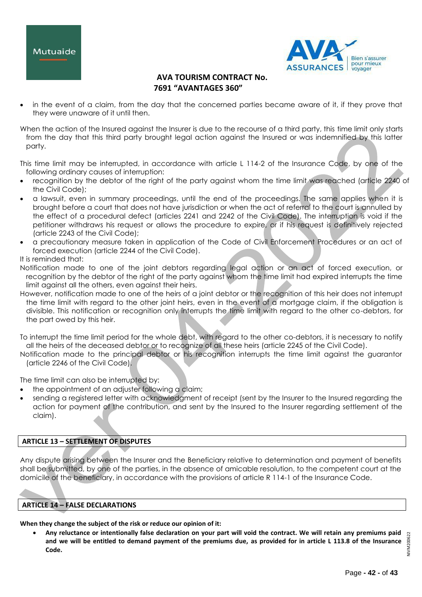



 in the event of a claim, from the day that the concerned parties became aware of it, if they prove that they were unaware of it until then.

When the action of the Insured against the Insurer is due to the recourse of a third party, this time limit only starts from the day that this third party brought legal action against the Insured or was indemnified by this latter party.

This time limit may be interrupted, in accordance with article L 114-2 of the Insurance Code, by one of the following ordinary causes of interruption:

- recognition by the debtor of the right of the party against whom the time limit was reached (article 2240 of the Civil Code);
- a lawsuit, even in summary proceedings, until the end of the proceedings. The same applies when it is brought before a court that does not have jurisdiction or when the act of referral to the court is annulled by the effect of a procedural defect (articles 2241 and 2242 of the Civil Code). The interruption is void if the petitioner withdraws his request or allows the procedure to expire, or if his request is definitively rejected (article 2243 of the Civil Code);
- a precautionary measure taken in application of the Code of Civil Enforcement Procedures or an act of forced execution (article 2244 of the Civil Code).

# It is reminded that:

Notification made to one of the joint debtors regarding legal action or an act of forced execution, or recognition by the debtor of the right of the party against whom the time limit had expired interrupts the time limit against all the others, even against their heirs.

However, notification made to one of the heirs of a joint debtor or the recognition of this heir does not interrupt the time limit with regard to the other joint heirs, even in the event of a mortgage claim, if the obligation is divisible. This notification or recognition only interrupts the time limit with regard to the other co-debtors, for the part owed by this heir.

To interrupt the time limit period for the whole debt, with regard to the other co-debtors, it is necessary to notify all the heirs of the deceased debtor or to recognize of all these heirs (article 2245 of the Civil Code).

Notification made to the principal debtor or his recognition interrupts the time limit against the guarantor (article 2246 of the Civil Code).

The time limit can also be interrupted by:

- the appointment of an adjuster following a claim;
- sending a registered letter with acknowledgment of receipt (sent by the Insurer to the Insured regarding the action for payment of the contribution, and sent by the Insured to the Insurer regarding settlement of the claim).

# **ARTICLE 13 – SETTLEMENT OF DISPUTES**

Any dispute arising between the Insurer and the Beneficiary relative to determination and payment of benefits shall be submitted, by one of the parties, in the absence of amicable resolution, to the competent court at the domicile of the beneficiary, in accordance with the provisions of article R 114-1 of the Insurance Code.

# **ARTICLE 14 – FALSE DECLARATIONS**

**When they change the subject of the risk or reduce our opinion of it:**

 **Any reluctance or intentionally false declaration on your part will void the contract. We will retain any premiums paid and we will be entitled to demand payment of the premiums due, as provided for in article L 113.8 of the Insurance Code.**